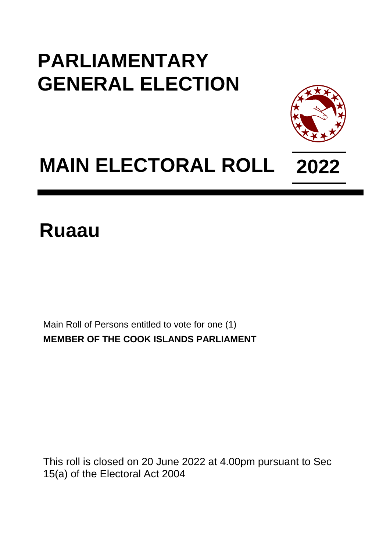## **PARLIAMENTARY GENERAL ELECTION**



## **MAIN ELECTORAL ROLL 2022**

**Ruaau**

Main Roll of Persons entitled to vote for one (1) **MEMBER OF THE COOK ISLANDS PARLIAMENT**

This roll is closed on 20 June 2022 at 4.00pm pursuant to Sec 15(a) of the Electoral Act 2004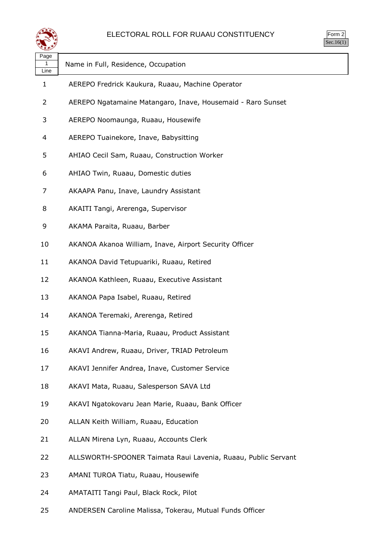

| Page<br>1<br>Line | Name in Full, Residence, Occupation                           |
|-------------------|---------------------------------------------------------------|
| 1                 | AEREPO Fredrick Kaukura, Ruaau, Machine Operator              |
| 2                 | AEREPO Ngatamaine Matangaro, Inave, Housemaid - Raro Sunset   |
| 3                 | AEREPO Noomaunga, Ruaau, Housewife                            |
| 4                 | AEREPO Tuainekore, Inave, Babysitting                         |
| 5                 | AHIAO Cecil Sam, Ruaau, Construction Worker                   |
| 6                 | AHIAO Twin, Ruaau, Domestic duties                            |
| 7                 | AKAAPA Panu, Inave, Laundry Assistant                         |
| 8                 | AKAITI Tangi, Arerenga, Supervisor                            |
| 9                 | AKAMA Paraita, Ruaau, Barber                                  |
| 10                | AKANOA Akanoa William, Inave, Airport Security Officer        |
| 11                | AKANOA David Tetupuariki, Ruaau, Retired                      |
| 12                | AKANOA Kathleen, Ruaau, Executive Assistant                   |
| 13                | AKANOA Papa Isabel, Ruaau, Retired                            |
| 14                | AKANOA Teremaki, Arerenga, Retired                            |
| 15                | AKANOA Tianna-Maria, Ruaau, Product Assistant                 |
| 16                | AKAVI Andrew, Ruaau, Driver, TRIAD Petroleum                  |
| 17                | AKAVI Jennifer Andrea, Inave, Customer Service                |
| 18                | AKAVI Mata, Ruaau, Salesperson SAVA Ltd                       |
| 19                | AKAVI Ngatokovaru Jean Marie, Ruaau, Bank Officer             |
| 20                | ALLAN Keith William, Ruaau, Education                         |
| 21                | ALLAN Mirena Lyn, Ruaau, Accounts Clerk                       |
| 22                | ALLSWORTH-SPOONER Taimata Raui Lavenia, Ruaau, Public Servant |
| 23                | AMANI TUROA Tiatu, Ruaau, Housewife                           |
| 24                | AMATAITI Tangi Paul, Black Rock, Pilot                        |

ANDERSEN Caroline Malissa, Tokerau, Mutual Funds Officer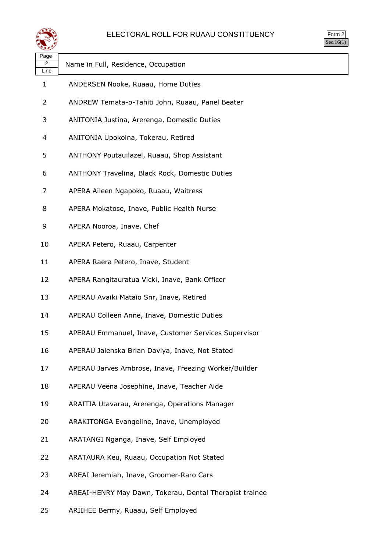

| rm<br>◞<br>u<br>٠ |
|-------------------|
|                   |

| Page<br>2<br>Line | Name in Full, Residence, Occupation                     |
|-------------------|---------------------------------------------------------|
| 1                 | ANDERSEN Nooke, Ruaau, Home Duties                      |
| 2                 | ANDREW Temata-o-Tahiti John, Ruaau, Panel Beater        |
| 3                 | ANITONIA Justina, Arerenga, Domestic Duties             |
| 4                 | ANITONIA Upokoina, Tokerau, Retired                     |
| 5                 | ANTHONY Poutauilazel, Ruaau, Shop Assistant             |
| 6                 | ANTHONY Travelina, Black Rock, Domestic Duties          |
| 7                 | APERA Aileen Ngapoko, Ruaau, Waitress                   |
| 8                 | APERA Mokatose, Inave, Public Health Nurse              |
| 9                 | APERA Nooroa, Inave, Chef                               |
| 10                | APERA Petero, Ruaau, Carpenter                          |
| 11                | APERA Raera Petero, Inave, Student                      |
| 12                | APERA Rangitauratua Vicki, Inave, Bank Officer          |
| 13                | APERAU Avaiki Mataio Snr, Inave, Retired                |
| 14                | APERAU Colleen Anne, Inave, Domestic Duties             |
| 15                | APERAU Emmanuel, Inave, Customer Services Supervisor    |
| 16                | APERAU Jalenska Brian Daviya, Inave, Not Stated         |
| 17                | APERAU Jarves Ambrose, Inave, Freezing Worker/Builder   |
| 18                | APERAU Veena Josephine, Inave, Teacher Aide             |
| 19                | ARAITIA Utavarau, Arerenga, Operations Manager          |
| 20                | ARAKITONGA Evangeline, Inave, Unemployed                |
| 21                | ARATANGI Nganga, Inave, Self Employed                   |
| 22                | ARATAURA Keu, Ruaau, Occupation Not Stated              |
| 23                | AREAI Jeremiah, Inave, Groomer-Raro Cars                |
| 24                | AREAI-HENRY May Dawn, Tokerau, Dental Therapist trainee |
|                   |                                                         |

ARIIHEE Bermy, Ruaau, Self Employed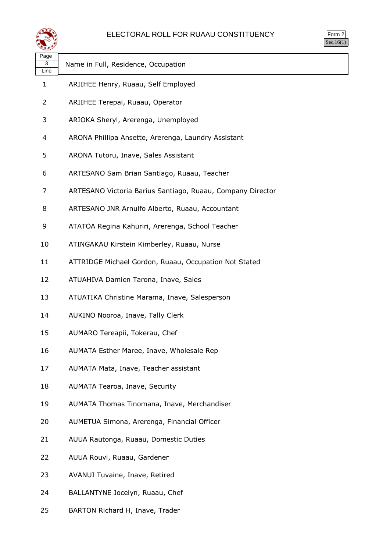

| $\mathsf{m}$<br>◢<br>u<br>٠<br>×, |  |
|-----------------------------------|--|
|                                   |  |

| Page                 |                                                            |
|----------------------|------------------------------------------------------------|
| 3                    | Name in Full, Residence, Occupation                        |
| Line<br>$\mathbf{1}$ | ARIIHEE Henry, Ruaau, Self Employed                        |
| 2                    | ARIIHEE Terepai, Ruaau, Operator                           |
| 3                    | ARIOKA Sheryl, Arerenga, Unemployed                        |
| 4                    | ARONA Phillipa Ansette, Arerenga, Laundry Assistant        |
| 5                    | ARONA Tutoru, Inave, Sales Assistant                       |
| 6                    | ARTESANO Sam Brian Santiago, Ruaau, Teacher                |
| 7                    | ARTESANO Victoria Barius Santiago, Ruaau, Company Director |
| 8                    | ARTESANO JNR Arnulfo Alberto, Ruaau, Accountant            |
| 9                    | ATATOA Regina Kahuriri, Arerenga, School Teacher           |
| 10                   | ATINGAKAU Kirstein Kimberley, Ruaau, Nurse                 |
| 11                   | ATTRIDGE Michael Gordon, Ruaau, Occupation Not Stated      |
| 12                   | ATUAHIVA Damien Tarona, Inave, Sales                       |
| 13                   | ATUATIKA Christine Marama, Inave, Salesperson              |
| 14                   | AUKINO Nooroa, Inave, Tally Clerk                          |
| 15                   | AUMARO Tereapii, Tokerau, Chef                             |
| 16                   | AUMATA Esther Maree, Inave, Wholesale Rep                  |
| 17                   | AUMATA Mata, Inave, Teacher assistant                      |
| 18                   | AUMATA Tearoa, Inave, Security                             |
| 19                   | AUMATA Thomas Tinomana, Inave, Merchandiser                |
| 20                   | AUMETUA Simona, Arerenga, Financial Officer                |
| 21                   | AUUA Rautonga, Ruaau, Domestic Duties                      |
| 22                   | AUUA Rouvi, Ruaau, Gardener                                |
| 23                   | AVANUI Tuvaine, Inave, Retired                             |
| 24                   | BALLANTYNE Jocelyn, Ruaau, Chef                            |

BARTON Richard H, Inave, Trader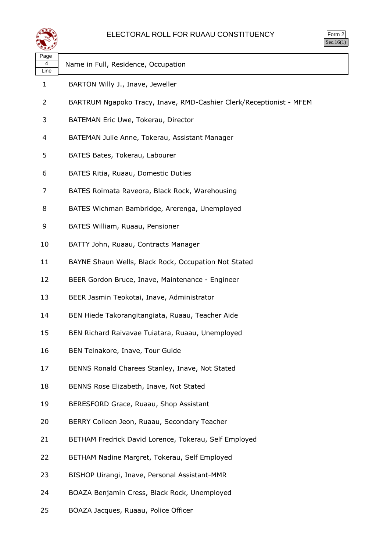

| Page<br>4<br>Line | Name in Full, Residence, Occupation                                 |
|-------------------|---------------------------------------------------------------------|
| $\mathbf{1}$      | BARTON Willy J., Inave, Jeweller                                    |
| 2                 | BARTRUM Ngapoko Tracy, Inave, RMD-Cashier Clerk/Receptionist - MFEM |
| 3                 | BATEMAN Eric Uwe, Tokerau, Director                                 |
| 4                 | BATEMAN Julie Anne, Tokerau, Assistant Manager                      |
| 5                 | BATES Bates, Tokerau, Labourer                                      |
| 6                 | BATES Ritia, Ruaau, Domestic Duties                                 |
| 7                 | BATES Roimata Raveora, Black Rock, Warehousing                      |
| 8                 | BATES Wichman Bambridge, Arerenga, Unemployed                       |
| 9                 | BATES William, Ruaau, Pensioner                                     |
| 10                | BATTY John, Ruaau, Contracts Manager                                |
| 11                | BAYNE Shaun Wells, Black Rock, Occupation Not Stated                |
| 12                | BEER Gordon Bruce, Inave, Maintenance - Engineer                    |
| 13                | BEER Jasmin Teokotai, Inave, Administrator                          |
| 14                | BEN Hiede Takorangitangiata, Ruaau, Teacher Aide                    |
| 15                | BEN Richard Raivavae Tuiatara, Ruaau, Unemployed                    |
| 16                | BEN Teinakore, Inave, Tour Guide                                    |
| 17                | BENNS Ronald Charees Stanley, Inave, Not Stated                     |
| 18                | BENNS Rose Elizabeth, Inave, Not Stated                             |
| 19                | BERESFORD Grace, Ruaau, Shop Assistant                              |
| 20                | BERRY Colleen Jeon, Ruaau, Secondary Teacher                        |
| 21                | BETHAM Fredrick David Lorence, Tokerau, Self Employed               |
| 22                | BETHAM Nadine Margret, Tokerau, Self Employed                       |
| 23                | BISHOP Uirangi, Inave, Personal Assistant-MMR                       |
| 24                | BOAZA Benjamin Cress, Black Rock, Unemployed                        |
| 25                | BOAZA Jacques, Ruaau, Police Officer                                |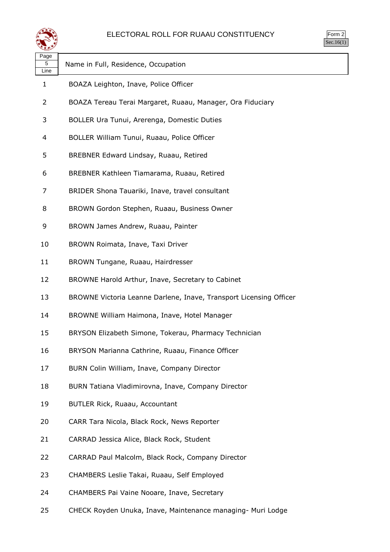

| Page         |                                                                    |
|--------------|--------------------------------------------------------------------|
| 5<br>Line    | Name in Full, Residence, Occupation                                |
| $\mathbf{1}$ | BOAZA Leighton, Inave, Police Officer                              |
| 2            | BOAZA Tereau Terai Margaret, Ruaau, Manager, Ora Fiduciary         |
| 3            | BOLLER Ura Tunui, Arerenga, Domestic Duties                        |
| 4            | BOLLER William Tunui, Ruaau, Police Officer                        |
| 5            | BREBNER Edward Lindsay, Ruaau, Retired                             |
| 6            | BREBNER Kathleen Tiamarama, Ruaau, Retired                         |
| 7            | BRIDER Shona Tauariki, Inave, travel consultant                    |
| 8            | BROWN Gordon Stephen, Ruaau, Business Owner                        |
| 9            | BROWN James Andrew, Ruaau, Painter                                 |
| 10           | BROWN Roimata, Inave, Taxi Driver                                  |
| 11           | BROWN Tungane, Ruaau, Hairdresser                                  |
| 12           | BROWNE Harold Arthur, Inave, Secretary to Cabinet                  |
| 13           | BROWNE Victoria Leanne Darlene, Inave, Transport Licensing Officer |
| 14           | BROWNE William Haimona, Inave, Hotel Manager                       |
| 15           | BRYSON Elizabeth Simone, Tokerau, Pharmacy Technician              |
| 16           | BRYSON Marianna Cathrine, Ruaau, Finance Officer                   |
| 17           | BURN Colin William, Inave, Company Director                        |
| 18           | BURN Tatiana Vladimirovna, Inave, Company Director                 |
| 19           | BUTLER Rick, Ruaau, Accountant                                     |
| 20           | CARR Tara Nicola, Black Rock, News Reporter                        |
| 21           | CARRAD Jessica Alice, Black Rock, Student                          |
| 22           | CARRAD Paul Malcolm, Black Rock, Company Director                  |
| 23           | CHAMBERS Leslie Takai, Ruaau, Self Employed                        |
| 24           | CHAMBERS Pai Vaine Nooare, Inave, Secretary                        |
|              |                                                                    |

CHECK Royden Unuka, Inave, Maintenance managing- Muri Lodge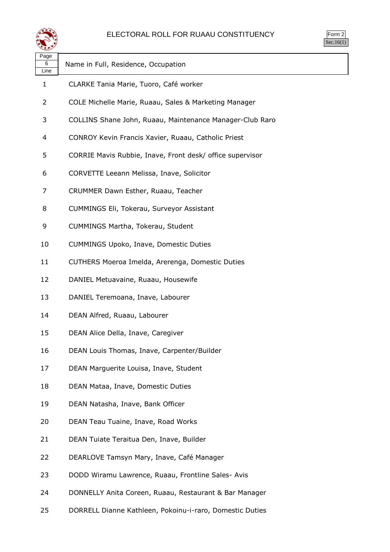

| Page<br>6<br>Line | Name in Full, Residence, Occupation                       |
|-------------------|-----------------------------------------------------------|
| 1                 | CLARKE Tania Marie, Tuoro, Café worker                    |
| 2                 | COLE Michelle Marie, Ruaau, Sales & Marketing Manager     |
| 3                 | COLLINS Shane John, Ruaau, Maintenance Manager-Club Raro  |
| 4                 | CONROY Kevin Francis Xavier, Ruaau, Catholic Priest       |
| 5                 | CORRIE Mavis Rubbie, Inave, Front desk/ office supervisor |
| 6                 | CORVETTE Leeann Melissa, Inave, Solicitor                 |
| 7                 | CRUMMER Dawn Esther, Ruaau, Teacher                       |
| 8                 | CUMMINGS Eli, Tokerau, Surveyor Assistant                 |
| 9                 | CUMMINGS Martha, Tokerau, Student                         |
| 10                | CUMMINGS Upoko, Inave, Domestic Duties                    |
| 11                | CUTHERS Moeroa Imelda, Arerenga, Domestic Duties          |
| 12                | DANIEL Metuavaine, Ruaau, Housewife                       |
| 13                | DANIEL Teremoana, Inave, Labourer                         |
| 14                | DEAN Alfred, Ruaau, Labourer                              |
| 15                | DEAN Alice Della, Inave, Caregiver                        |
| 16                | DEAN Louis Thomas, Inave, Carpenter/Builder               |
| 17                | DEAN Marguerite Louisa, Inave, Student                    |
| 18                | DEAN Mataa, Inave, Domestic Duties                        |
| 19                | DEAN Natasha, Inave, Bank Officer                         |
| 20                | DEAN Teau Tuaine, Inave, Road Works                       |
| 21                | DEAN Tuiate Teraitua Den, Inave, Builder                  |
| 22                | DEARLOVE Tamsyn Mary, Inave, Café Manager                 |
| 23                | DODD Wiramu Lawrence, Ruaau, Frontline Sales- Avis        |
| 24                | DONNELLY Anita Coreen, Ruaau, Restaurant & Bar Manager    |
|                   |                                                           |

DORRELL Dianne Kathleen, Pokoinu-i-raro, Domestic Duties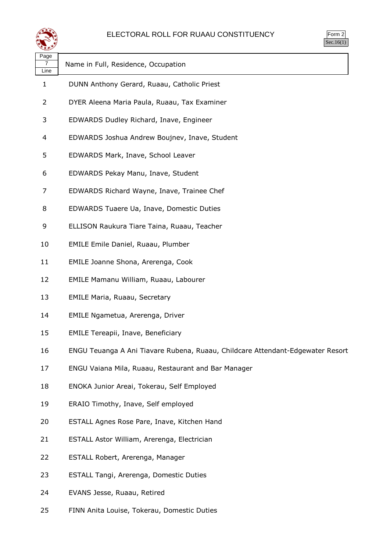

| orm<br>╭ |
|----------|
|          |

| ∽<br>Page |                                                                                |
|-----------|--------------------------------------------------------------------------------|
| 7<br>Line | Name in Full, Residence, Occupation                                            |
| 1         | DUNN Anthony Gerard, Ruaau, Catholic Priest                                    |
| 2         | DYER Aleena Maria Paula, Ruaau, Tax Examiner                                   |
| 3         | EDWARDS Dudley Richard, Inave, Engineer                                        |
| 4         | EDWARDS Joshua Andrew Boujnev, Inave, Student                                  |
| 5         | EDWARDS Mark, Inave, School Leaver                                             |
| 6         | EDWARDS Pekay Manu, Inave, Student                                             |
| 7         | EDWARDS Richard Wayne, Inave, Trainee Chef                                     |
| 8         | EDWARDS Tuaere Ua, Inave, Domestic Duties                                      |
| 9         | ELLISON Raukura Tiare Taina, Ruaau, Teacher                                    |
| 10        | <b>EMILE Emile Daniel, Ruaau, Plumber</b>                                      |
| 11        | EMILE Joanne Shona, Arerenga, Cook                                             |
| 12        | EMILE Mamanu William, Ruaau, Labourer                                          |
| 13        | <b>EMILE Maria, Ruaau, Secretary</b>                                           |
| 14        | EMILE Ngametua, Arerenga, Driver                                               |
| 15        | <b>EMILE Tereapii, Inave, Beneficiary</b>                                      |
| 16        | ENGU Teuanga A Ani Tiavare Rubena, Ruaau, Childcare Attendant-Edgewater Resort |
| 17        | ENGU Vaiana Mila, Ruaau, Restaurant and Bar Manager                            |
| 18        | ENOKA Junior Areai, Tokerau, Self Employed                                     |
| 19        | ERAIO Timothy, Inave, Self employed                                            |
| 20        | ESTALL Agnes Rose Pare, Inave, Kitchen Hand                                    |
| 21        | ESTALL Astor William, Arerenga, Electrician                                    |
| 22        | ESTALL Robert, Arerenga, Manager                                               |
| 23        | ESTALL Tangi, Arerenga, Domestic Duties                                        |
| 24        | EVANS Jesse, Ruaau, Retired                                                    |
|           |                                                                                |

FINN Anita Louise, Tokerau, Domestic Duties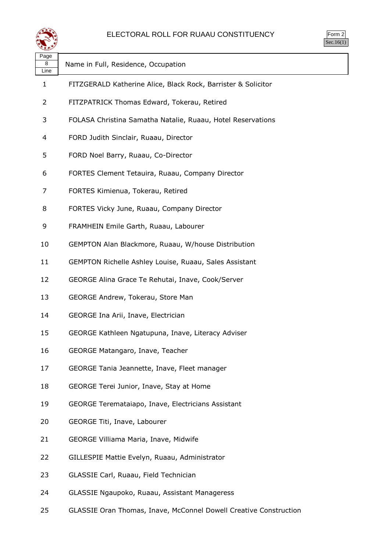

| Page<br>8<br>Line | Name in Full, Residence, Occupation                           |
|-------------------|---------------------------------------------------------------|
| 1                 | FITZGERALD Katherine Alice, Black Rock, Barrister & Solicitor |
| 2                 | FITZPATRICK Thomas Edward, Tokerau, Retired                   |
| 3                 | FOLASA Christina Samatha Natalie, Ruaau, Hotel Reservations   |
| 4                 | FORD Judith Sinclair, Ruaau, Director                         |
| 5                 | FORD Noel Barry, Ruaau, Co-Director                           |
| 6                 | FORTES Clement Tetauira, Ruaau, Company Director              |
| 7                 | FORTES Kimienua, Tokerau, Retired                             |
| 8                 | FORTES Vicky June, Ruaau, Company Director                    |
| 9                 | FRAMHEIN Emile Garth, Ruaau, Labourer                         |
| 10                | GEMPTON Alan Blackmore, Ruaau, W/house Distribution           |
| 11                | GEMPTON Richelle Ashley Louise, Ruaau, Sales Assistant        |
| 12                | GEORGE Alina Grace Te Rehutai, Inave, Cook/Server             |
| 13                | GEORGE Andrew, Tokerau, Store Man                             |
| 14                | GEORGE Ina Arii, Inave, Electrician                           |
| 15                | GEORGE Kathleen Ngatupuna, Inave, Literacy Adviser            |
| 16                | GEORGE Matangaro, Inave, Teacher                              |
| 17                | GEORGE Tania Jeannette, Inave, Fleet manager                  |
| 18                | GEORGE Terei Junior, Inave, Stay at Home                      |
| 19                | GEORGE Teremataiapo, Inave, Electricians Assistant            |
| 20                | GEORGE Titi, Inave, Labourer                                  |
| 21                | GEORGE Villiama Maria, Inave, Midwife                         |
| 22                | GILLESPIE Mattie Evelyn, Ruaau, Administrator                 |
| 23                | GLASSIE Carl, Ruaau, Field Technician                         |
| 24                | GLASSIE Ngaupoko, Ruaau, Assistant Manageress                 |
|                   |                                                               |

GLASSIE Oran Thomas, Inave, McConnel Dowell Creative Construction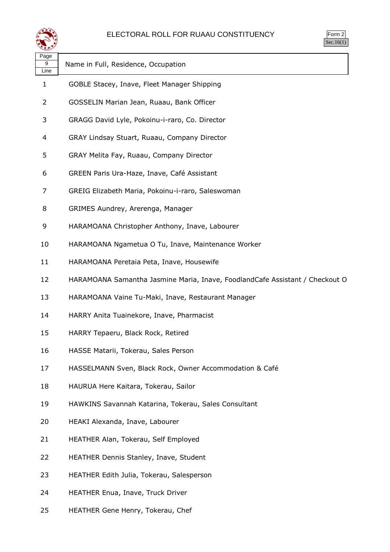

| ırm<br>Ξ |
|----------|
|          |

| Page<br>9<br>Line | Name in Full, Residence, Occupation                                          |
|-------------------|------------------------------------------------------------------------------|
| 1                 | GOBLE Stacey, Inave, Fleet Manager Shipping                                  |
| 2                 | GOSSELIN Marian Jean, Ruaau, Bank Officer                                    |
| 3                 | GRAGG David Lyle, Pokoinu-i-raro, Co. Director                               |
| 4                 | GRAY Lindsay Stuart, Ruaau, Company Director                                 |
| 5                 | GRAY Melita Fay, Ruaau, Company Director                                     |
| 6                 | GREEN Paris Ura-Haze, Inave, Café Assistant                                  |
| 7                 | GREIG Elizabeth Maria, Pokoinu-i-raro, Saleswoman                            |
| 8                 | GRIMES Aundrey, Arerenga, Manager                                            |
| 9                 | HARAMOANA Christopher Anthony, Inave, Labourer                               |
| 10                | HARAMOANA Ngametua O Tu, Inave, Maintenance Worker                           |
| 11                | HARAMOANA Peretaia Peta, Inave, Housewife                                    |
| 12                | HARAMOANA Samantha Jasmine Maria, Inave, FoodlandCafe Assistant / Checkout O |
| 13                | HARAMOANA Vaine Tu-Maki, Inave, Restaurant Manager                           |
| 14                | HARRY Anita Tuainekore, Inave, Pharmacist                                    |
| 15                | HARRY Tepaeru, Black Rock, Retired                                           |
| 16                | HASSE Matarii, Tokerau, Sales Person                                         |
| 17                | HASSELMANN Sven, Black Rock, Owner Accommodation & Café                      |
| 18                | HAURUA Here Kaitara, Tokerau, Sailor                                         |
| 19                | HAWKINS Savannah Katarina, Tokerau, Sales Consultant                         |
| 20                | HEAKI Alexanda, Inave, Labourer                                              |
| 21                | HEATHER Alan, Tokerau, Self Employed                                         |
| 22                | HEATHER Dennis Stanley, Inave, Student                                       |
| 23                | HEATHER Edith Julia, Tokerau, Salesperson                                    |
| 24                | HEATHER Enua, Inave, Truck Driver                                            |
|                   |                                                                              |

HEATHER Gene Henry, Tokerau, Chef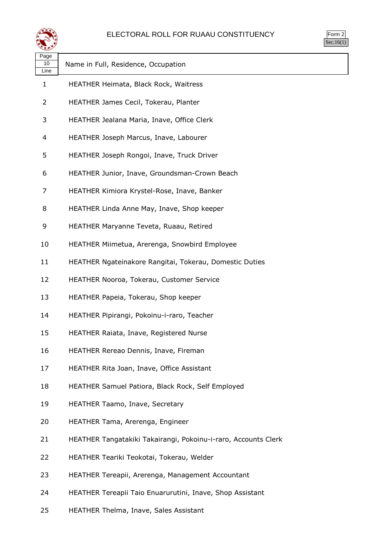

| orm<br>╭ |
|----------|
| ٠.       |

| Page<br>10<br>Line | Name in Full, Residence, Occupation                            |
|--------------------|----------------------------------------------------------------|
| $\mathbf{1}$       | HEATHER Heimata, Black Rock, Waitress                          |
| 2                  | HEATHER James Cecil, Tokerau, Planter                          |
| 3                  | HEATHER Jealana Maria, Inave, Office Clerk                     |
| 4                  | HEATHER Joseph Marcus, Inave, Labourer                         |
| 5                  | HEATHER Joseph Rongoi, Inave, Truck Driver                     |
| 6                  | HEATHER Junior, Inave, Groundsman-Crown Beach                  |
| 7                  | HEATHER Kimiora Krystel-Rose, Inave, Banker                    |
| 8                  | HEATHER Linda Anne May, Inave, Shop keeper                     |
| 9                  | HEATHER Maryanne Teveta, Ruaau, Retired                        |
| 10                 | HEATHER Miimetua, Arerenga, Snowbird Employee                  |
| 11                 | HEATHER Ngateinakore Rangitai, Tokerau, Domestic Duties        |
| 12                 | HEATHER Nooroa, Tokerau, Customer Service                      |
| 13                 | HEATHER Papeia, Tokerau, Shop keeper                           |
| 14                 | HEATHER Pipirangi, Pokoinu-i-raro, Teacher                     |
| 15                 | HEATHER Raiata, Inave, Registered Nurse                        |
| 16                 | HEATHER Rereao Dennis, Inave, Fireman                          |
| 17                 | HEATHER Rita Joan, Inave, Office Assistant                     |
| 18                 | HEATHER Samuel Patiora, Black Rock, Self Employed              |
| 19                 | HEATHER Taamo, Inave, Secretary                                |
| 20                 | HEATHER Tama, Arerenga, Engineer                               |
| 21                 | HEATHER Tangatakiki Takairangi, Pokoinu-i-raro, Accounts Clerk |
| 22                 | HEATHER Teariki Teokotai, Tokerau, Welder                      |
| 23                 | HEATHER Tereapii, Arerenga, Management Accountant              |
| 24                 | HEATHER Tereapii Taio Enuarurutini, Inave, Shop Assistant      |

HEATHER Thelma, Inave, Sales Assistant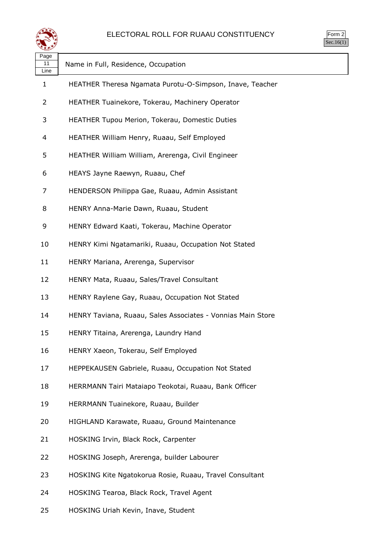

| Page<br>11<br>Line | Name in Full, Residence, Occupation                         |
|--------------------|-------------------------------------------------------------|
| 1                  | HEATHER Theresa Ngamata Purotu-O-Simpson, Inave, Teacher    |
| 2                  | HEATHER Tuainekore, Tokerau, Machinery Operator             |
| 3                  | HEATHER Tupou Merion, Tokerau, Domestic Duties              |
| 4                  | HEATHER William Henry, Ruaau, Self Employed                 |
| 5                  | HEATHER William William, Arerenga, Civil Engineer           |
| 6                  | HEAYS Jayne Raewyn, Ruaau, Chef                             |
| 7                  | HENDERSON Philippa Gae, Ruaau, Admin Assistant              |
| 8                  | HENRY Anna-Marie Dawn, Ruaau, Student                       |
| 9                  | HENRY Edward Kaati, Tokerau, Machine Operator               |
| 10                 | HENRY Kimi Ngatamariki, Ruaau, Occupation Not Stated        |
| 11                 | HENRY Mariana, Arerenga, Supervisor                         |
| 12                 | HENRY Mata, Ruaau, Sales/Travel Consultant                  |
| 13                 | HENRY Raylene Gay, Ruaau, Occupation Not Stated             |
| 14                 | HENRY Taviana, Ruaau, Sales Associates - Vonnias Main Store |
| 15                 | HENRY Titaina, Arerenga, Laundry Hand                       |
| 16                 | HENRY Xaeon, Tokerau, Self Employed                         |
| 17                 | HEPPEKAUSEN Gabriele, Ruaau, Occupation Not Stated          |
| 18                 | HERRMANN Tairi Mataiapo Teokotai, Ruaau, Bank Officer       |
| 19                 | HERRMANN Tuainekore, Ruaau, Builder                         |
| 20                 | HIGHLAND Karawate, Ruaau, Ground Maintenance                |
| 21                 | HOSKING Irvin, Black Rock, Carpenter                        |
| 22                 | HOSKING Joseph, Arerenga, builder Labourer                  |
| 23                 | HOSKING Kite Ngatokorua Rosie, Ruaau, Travel Consultant     |
| 24                 | HOSKING Tearoa, Black Rock, Travel Agent                    |
| 25                 | HOSKING Uriah Kevin, Inave, Student                         |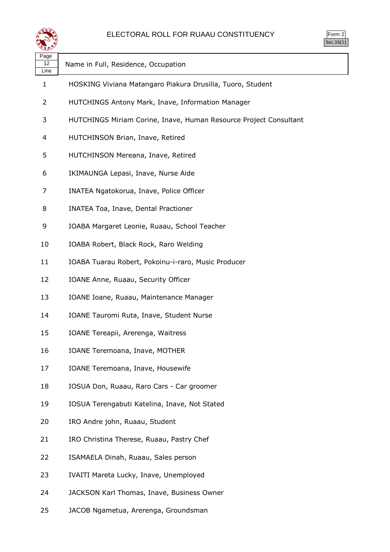

| Page<br>12<br>Line | Name in Full, Residence, Occupation                               |
|--------------------|-------------------------------------------------------------------|
| 1                  | HOSKING Viviana Matangaro Piakura Drusilla, Tuoro, Student        |
| 2                  | HUTCHINGS Antony Mark, Inave, Information Manager                 |
| 3                  | HUTCHINGS Miriam Corine, Inave, Human Resource Project Consultant |
| 4                  | HUTCHINSON Brian, Inave, Retired                                  |
| 5                  | HUTCHINSON Mereana, Inave, Retired                                |
| 6                  | IKIMAUNGA Lepasi, Inave, Nurse Aide                               |
| 7                  | INATEA Ngatokorua, Inave, Police Officer                          |
| 8                  | INATEA Toa, Inave, Dental Practioner                              |
| 9                  | IOABA Margaret Leonie, Ruaau, School Teacher                      |
| 10                 | IOABA Robert, Black Rock, Raro Welding                            |
| 11                 | IOABA Tuarau Robert, Pokoinu-i-raro, Music Producer               |
| 12                 | IOANE Anne, Ruaau, Security Officer                               |
| 13                 | IOANE Ioane, Ruaau, Maintenance Manager                           |
| 14                 | IOANE Tauromi Ruta, Inave, Student Nurse                          |
| 15                 | IOANE Tereapii, Arerenga, Waitress                                |
| 16                 | IOANE Teremoana, Inave, MOTHER                                    |
| 17                 | IOANE Teremoana, Inave, Housewife                                 |
| 18                 | IOSUA Don, Ruaau, Raro Cars - Car groomer                         |
| 19                 | IOSUA Terengabuti Katelina, Inave, Not Stated                     |
| 20                 | IRO Andre john, Ruaau, Student                                    |
| 21                 | IRO Christina Therese, Ruaau, Pastry Chef                         |
| 22                 | ISAMAELA Dinah, Ruaau, Sales person                               |
| 23                 | IVAITI Mareta Lucky, Inave, Unemployed                            |
| 24                 | JACKSON Karl Thomas, Inave, Business Owner                        |
| 25                 | JACOB Ngametua, Arerenga, Groundsman                              |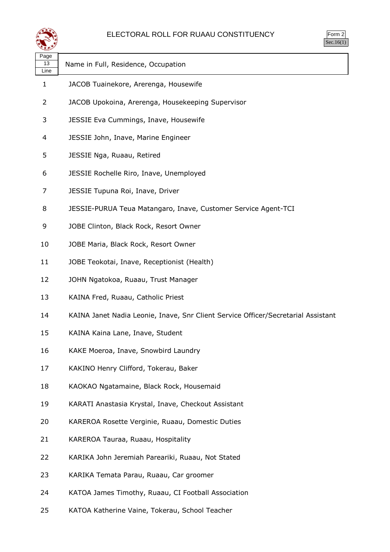

| <b>Im</b><br>٠<br>۰<br>$\cdot$ . |
|----------------------------------|
| ×.                               |

| ∼                  |                                                                                   |
|--------------------|-----------------------------------------------------------------------------------|
| Page<br>13<br>Line | Name in Full, Residence, Occupation                                               |
| 1                  | JACOB Tuainekore, Arerenga, Housewife                                             |
| 2                  | JACOB Upokoina, Arerenga, Housekeeping Supervisor                                 |
| 3                  | JESSIE Eva Cummings, Inave, Housewife                                             |
| 4                  | JESSIE John, Inave, Marine Engineer                                               |
| 5                  | JESSIE Nga, Ruaau, Retired                                                        |
| 6                  | JESSIE Rochelle Riro, Inave, Unemployed                                           |
| 7                  | JESSIE Tupuna Roi, Inave, Driver                                                  |
| 8                  | JESSIE-PURUA Teua Matangaro, Inave, Customer Service Agent-TCI                    |
| 9                  | JOBE Clinton, Black Rock, Resort Owner                                            |
| 10                 | JOBE Maria, Black Rock, Resort Owner                                              |
| 11                 | JOBE Teokotai, Inave, Receptionist (Health)                                       |
| 12                 | JOHN Ngatokoa, Ruaau, Trust Manager                                               |
| 13                 | KAINA Fred, Ruaau, Catholic Priest                                                |
| 14                 | KAINA Janet Nadia Leonie, Inave, Snr Client Service Officer/Secretarial Assistant |
| 15                 | KAINA Kaina Lane, Inave, Student                                                  |
| 16                 | KAKE Moeroa, Inave, Snowbird Laundry                                              |
| 17                 | KAKINO Henry Clifford, Tokerau, Baker                                             |
| 18                 | KAOKAO Ngatamaine, Black Rock, Housemaid                                          |
| 19                 | KARATI Anastasia Krystal, Inave, Checkout Assistant                               |
| 20                 | KAREROA Rosette Verginie, Ruaau, Domestic Duties                                  |
| 21                 | KAREROA Tauraa, Ruaau, Hospitality                                                |
| 22                 | KARIKA John Jeremiah Pareariki, Ruaau, Not Stated                                 |
| 23                 | KARIKA Temata Parau, Ruaau, Car groomer                                           |
| 24                 | KATOA James Timothy, Ruaau, CI Football Association                               |
| 25                 | KATOA Katherine Vaine, Tokerau, School Teacher                                    |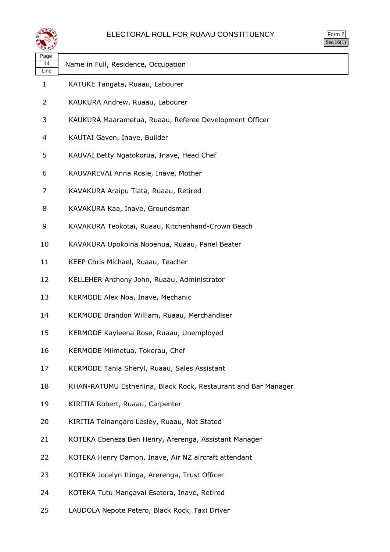

| orm<br><u>ر.</u> |
|------------------|
|                  |

| Page<br>14<br>Line | Name in Full, Residence, Occupation                            |
|--------------------|----------------------------------------------------------------|
| 1                  | KATUKE Tangata, Ruaau, Labourer                                |
| 2                  | KAUKURA Andrew, Ruaau, Labourer                                |
| 3                  | KAUKURA Maarametua, Ruaau, Referee Development Officer         |
| 4                  | KAUTAI Gaven, Inave, Builder                                   |
| 5                  | KAUVAI Betty Ngatokorua, Inave, Head Chef                      |
| 6                  | KAUVAREVAI Anna Rosie, Inave, Mother                           |
| 7                  | KAVAKURA Araipu Tiata, Ruaau, Retired                          |
| 8                  | KAVAKURA Kaa, Inave, Groundsman                                |
| 9                  | KAVAKURA Teokotai, Ruaau, Kitchenhand-Crown Beach              |
| 10                 | KAVAKURA Upokoina Nooenua, Ruaau, Panel Beater                 |
| 11                 | KEEP Chris Michael, Ruaau, Teacher                             |
| 12                 | KELLEHER Anthony John, Ruaau, Administrator                    |
| 13                 | KERMODE Alex Noa, Inave, Mechanic                              |
| 14                 | KERMODE Brandon William, Ruaau, Merchandiser                   |
| 15                 | KERMODE Kayleena Rose, Ruaau, Unemployed                       |
| 16                 | KERMODE Miimetua, Tokerau, Chef                                |
| 17                 | KERMODE Tania Sheryl, Ruaau, Sales Assistant                   |
| 18                 | KHAN-RATUMU Estherlina, Black Rock, Restaurant and Bar Manager |
| 19                 | KIRITIA Robert, Ruaau, Carpenter                               |
| 20                 | KIRITIA Teinangaro Lesley, Ruaau, Not Stated                   |
| 21                 | KOTEKA Ebeneza Ben Henry, Arerenga, Assistant Manager          |
| 22                 | KOTEKA Henry Damon, Inave, Air NZ aircraft attendant           |
| 23                 | KOTEKA Jocelyn Itinga, Arerenga, Trust Officer                 |
| 24                 | KOTEKA Tutu Mangavai Esetera, Inave, Retired                   |

LAUDOLA Nepote Petero, Black Rock, Taxi Driver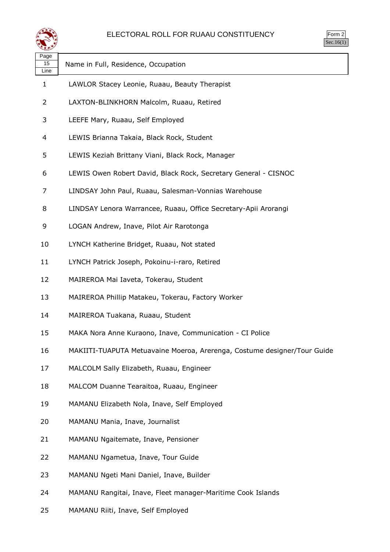

| $\mathsf{m}$<br>◢<br>u<br>٠<br>×, |  |
|-----------------------------------|--|
|                                   |  |

| Page<br>15<br>Line | Name in Full, Residence, Occupation                                      |
|--------------------|--------------------------------------------------------------------------|
| 1                  | LAWLOR Stacey Leonie, Ruaau, Beauty Therapist                            |
| 2                  | LAXTON-BLINKHORN Malcolm, Ruaau, Retired                                 |
| 3                  | LEEFE Mary, Ruaau, Self Employed                                         |
| 4                  | LEWIS Brianna Takaia, Black Rock, Student                                |
| 5                  | LEWIS Keziah Brittany Viani, Black Rock, Manager                         |
| 6                  | LEWIS Owen Robert David, Black Rock, Secretary General - CISNOC          |
| 7                  | LINDSAY John Paul, Ruaau, Salesman-Vonnias Warehouse                     |
| 8                  | LINDSAY Lenora Warrancee, Ruaau, Office Secretary-Apii Arorangi          |
| 9                  | LOGAN Andrew, Inave, Pilot Air Rarotonga                                 |
| 10                 | LYNCH Katherine Bridget, Ruaau, Not stated                               |
| 11                 | LYNCH Patrick Joseph, Pokoinu-i-raro, Retired                            |
| 12                 | MAIREROA Mai Iaveta, Tokerau, Student                                    |
| 13                 | MAIREROA Phillip Matakeu, Tokerau, Factory Worker                        |
| 14                 | MAIREROA Tuakana, Ruaau, Student                                         |
| 15                 | MAKA Nora Anne Kuraono, Inave, Communication - CI Police                 |
| 16                 | MAKIITI-TUAPUTA Metuavaine Moeroa, Arerenga, Costume designer/Tour Guide |
| 17                 | MALCOLM Sally Elizabeth, Ruaau, Engineer                                 |
| 18                 | MALCOM Duanne Tearaitoa, Ruaau, Engineer                                 |
| 19                 | MAMANU Elizabeth Nola, Inave, Self Employed                              |
| 20                 | MAMANU Mania, Inave, Journalist                                          |
| 21                 | MAMANU Ngaitemate, Inave, Pensioner                                      |
| 22                 | MAMANU Ngametua, Inave, Tour Guide                                       |
| 23                 | MAMANU Ngeti Mani Daniel, Inave, Builder                                 |
| 24                 | MAMANU Rangitai, Inave, Fleet manager-Maritime Cook Islands              |

MAMANU Riiti, Inave, Self Employed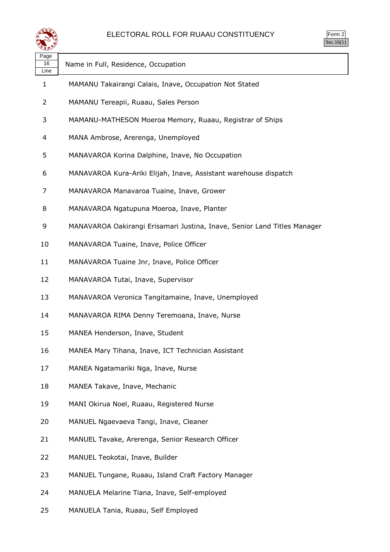

Form 2  $\text{Sec.16}(1)$ 

| Page<br>16<br>Line | Name in Full, Residence, Occupation                                      |
|--------------------|--------------------------------------------------------------------------|
| 1                  | MAMANU Takairangi Calais, Inave, Occupation Not Stated                   |
| 2                  | MAMANU Tereapii, Ruaau, Sales Person                                     |
| 3                  | MAMANU-MATHESON Moeroa Memory, Ruaau, Registrar of Ships                 |
| 4                  | MANA Ambrose, Arerenga, Unemployed                                       |
| 5                  | MANAVAROA Korina Dalphine, Inave, No Occupation                          |
| 6                  | MANAVAROA Kura-Ariki Elijah, Inave, Assistant warehouse dispatch         |
| 7                  | MANAVAROA Manavaroa Tuaine, Inave, Grower                                |
| 8                  | MANAVAROA Ngatupuna Moeroa, Inave, Planter                               |
| 9                  | MANAVAROA Oakirangi Erisamari Justina, Inave, Senior Land Titles Manager |
| 10                 | MANAVAROA Tuaine, Inave, Police Officer                                  |
| 11                 | MANAVAROA Tuaine Jnr, Inave, Police Officer                              |
| 12                 | MANAVAROA Tutai, Inave, Supervisor                                       |
| 13                 | MANAVAROA Veronica Tangitamaine, Inave, Unemployed                       |
| 14                 | MANAVAROA RIMA Denny Teremoana, Inave, Nurse                             |
| 15                 | MANEA Henderson, Inave, Student                                          |
| 16                 | MANEA Mary Tihana, Inave, ICT Technician Assistant                       |
| 17                 | MANEA Ngatamariki Nga, Inave, Nurse                                      |
| 18                 | MANEA Takave, Inave, Mechanic                                            |
| 19                 | MANI Okirua Noel, Ruaau, Registered Nurse                                |
| 20                 | MANUEL Ngaevaeva Tangi, Inave, Cleaner                                   |
| 21                 | MANUEL Tavake, Arerenga, Senior Research Officer                         |
| 22                 | MANUEL Teokotai, Inave, Builder                                          |
| 23                 | MANUEL Tungane, Ruaau, Island Craft Factory Manager                      |
| 24                 | MANUELA Melarine Tiana, Inave, Self-employed                             |
| 25                 | MANUELA Tania, Ruaau, Self Employed                                      |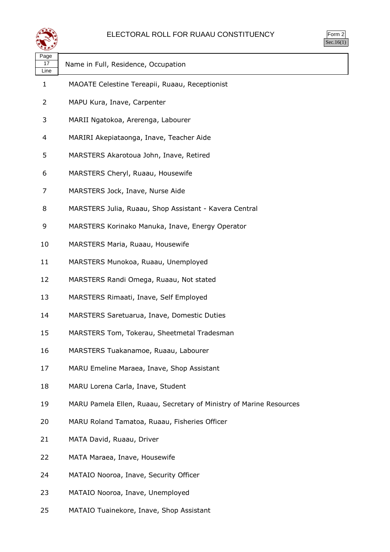

| Page<br>17<br>Line | Name in Full, Residence, Occupation                                 |
|--------------------|---------------------------------------------------------------------|
| 1                  | MAOATE Celestine Tereapii, Ruaau, Receptionist                      |
| 2                  | MAPU Kura, Inave, Carpenter                                         |
| 3                  | MARII Ngatokoa, Arerenga, Labourer                                  |
| 4                  | MARIRI Akepiataonga, Inave, Teacher Aide                            |
| 5                  | MARSTERS Akarotoua John, Inave, Retired                             |
| 6                  | MARSTERS Cheryl, Ruaau, Housewife                                   |
| 7                  | MARSTERS Jock, Inave, Nurse Aide                                    |
| 8                  | MARSTERS Julia, Ruaau, Shop Assistant - Kavera Central              |
| 9                  | MARSTERS Korinako Manuka, Inave, Energy Operator                    |
| 10                 | MARSTERS Maria, Ruaau, Housewife                                    |
| 11                 | MARSTERS Munokoa, Ruaau, Unemployed                                 |
| 12                 | MARSTERS Randi Omega, Ruaau, Not stated                             |
| 13                 | MARSTERS Rimaati, Inave, Self Employed                              |
| 14                 | MARSTERS Saretuarua, Inave, Domestic Duties                         |
| 15                 | MARSTERS Tom, Tokerau, Sheetmetal Tradesman                         |
| 16                 | MARSTERS Tuakanamoe, Ruaau, Labourer                                |
| 17                 | MARU Emeline Maraea, Inave, Shop Assistant                          |
| 18                 | MARU Lorena Carla, Inave, Student                                   |
| 19                 | MARU Pamela Ellen, Ruaau, Secretary of Ministry of Marine Resources |
| 20                 | MARU Roland Tamatoa, Ruaau, Fisheries Officer                       |
| 21                 | MATA David, Ruaau, Driver                                           |
| 22                 | MATA Maraea, Inave, Housewife                                       |
| 24                 | MATAIO Nooroa, Inave, Security Officer                              |
| 23                 | MATAIO Nooroa, Inave, Unemployed                                    |

MATAIO Tuainekore, Inave, Shop Assistant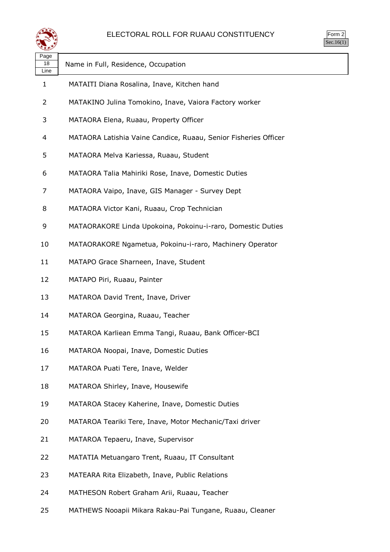

| Page<br>18<br>Line | Name in Full, Residence, Occupation                             |
|--------------------|-----------------------------------------------------------------|
| 1                  | MATAITI Diana Rosalina, Inave, Kitchen hand                     |
| $\overline{2}$     | MATAKINO Julina Tomokino, Inave, Vaiora Factory worker          |
| 3                  | MATAORA Elena, Ruaau, Property Officer                          |
| 4                  | MATAORA Latishia Vaine Candice, Ruaau, Senior Fisheries Officer |
| 5                  | MATAORA Melva Kariessa, Ruaau, Student                          |
| 6                  | MATAORA Talia Mahiriki Rose, Inave, Domestic Duties             |
| 7                  | MATAORA Vaipo, Inave, GIS Manager - Survey Dept                 |
| 8                  | MATAORA Victor Kani, Ruaau, Crop Technician                     |
| 9                  | MATAORAKORE Linda Upokoina, Pokoinu-i-raro, Domestic Duties     |
| 10                 | MATAORAKORE Ngametua, Pokoinu-i-raro, Machinery Operator        |
| 11                 | MATAPO Grace Sharneen, Inave, Student                           |
| 12                 | MATAPO Piri, Ruaau, Painter                                     |
| 13                 | MATAROA David Trent, Inave, Driver                              |
| 14                 | MATAROA Georgina, Ruaau, Teacher                                |
| 15                 | MATAROA Karliean Emma Tangi, Ruaau, Bank Officer-BCI            |
| 16                 | MATAROA Noopai, Inave, Domestic Duties                          |
| 17                 | MATAROA Puati Tere, Inave, Welder                               |
| 18                 | MATAROA Shirley, Inave, Housewife                               |
| 19                 | MATAROA Stacey Kaherine, Inave, Domestic Duties                 |
| 20                 | MATAROA Teariki Tere, Inave, Motor Mechanic/Taxi driver         |
| 21                 | MATAROA Tepaeru, Inave, Supervisor                              |
| 22                 | MATATIA Metuangaro Trent, Ruaau, IT Consultant                  |
| 23                 | MATEARA Rita Elizabeth, Inave, Public Relations                 |
| 24                 | MATHESON Robert Graham Arii, Ruaau, Teacher                     |
|                    |                                                                 |

MATHEWS Nooapii Mikara Rakau-Pai Tungane, Ruaau, Cleaner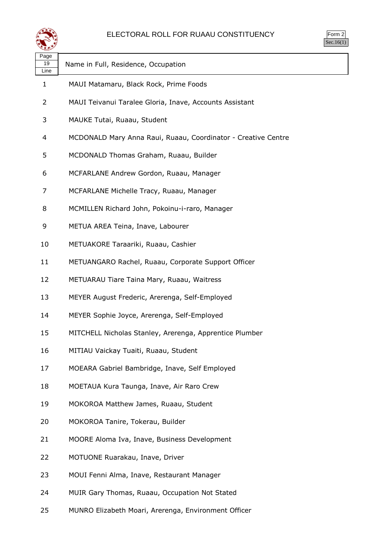

| Page<br>19<br>Line | Name in Full, Residence, Occupation                           |
|--------------------|---------------------------------------------------------------|
| 1                  | MAUI Matamaru, Black Rock, Prime Foods                        |
| 2                  | MAUI Teivanui Taralee Gloria, Inave, Accounts Assistant       |
| 3                  | MAUKE Tutai, Ruaau, Student                                   |
| 4                  | MCDONALD Mary Anna Raui, Ruaau, Coordinator - Creative Centre |
| 5                  | MCDONALD Thomas Graham, Ruaau, Builder                        |
| 6                  | MCFARLANE Andrew Gordon, Ruaau, Manager                       |
| 7                  | MCFARLANE Michelle Tracy, Ruaau, Manager                      |
| 8                  | MCMILLEN Richard John, Pokoinu-i-raro, Manager                |
| 9                  | METUA AREA Teina, Inave, Labourer                             |
| 10                 | METUAKORE Taraariki, Ruaau, Cashier                           |
| 11                 | METUANGARO Rachel, Ruaau, Corporate Support Officer           |
| 12                 | METUARAU Tiare Taina Mary, Ruaau, Waitress                    |
| 13                 | MEYER August Frederic, Arerenga, Self-Employed                |
| 14                 | MEYER Sophie Joyce, Arerenga, Self-Employed                   |
| 15                 | MITCHELL Nicholas Stanley, Arerenga, Apprentice Plumber       |
| 16                 | MITIAU Vaickay Tuaiti, Ruaau, Student                         |
| 17                 | MOEARA Gabriel Bambridge, Inave, Self Employed                |
| 18                 | MOETAUA Kura Taunga, Inave, Air Raro Crew                     |
| 19                 | MOKOROA Matthew James, Ruaau, Student                         |
| 20                 | MOKOROA Tanire, Tokerau, Builder                              |
| 21                 | MOORE Aloma Iva, Inave, Business Development                  |
| 22                 | MOTUONE Ruarakau, Inave, Driver                               |
| 23                 | MOUI Fenni Alma, Inave, Restaurant Manager                    |
| 24                 | MUIR Gary Thomas, Ruaau, Occupation Not Stated                |
|                    |                                                               |

MUNRO Elizabeth Moari, Arerenga, Environment Officer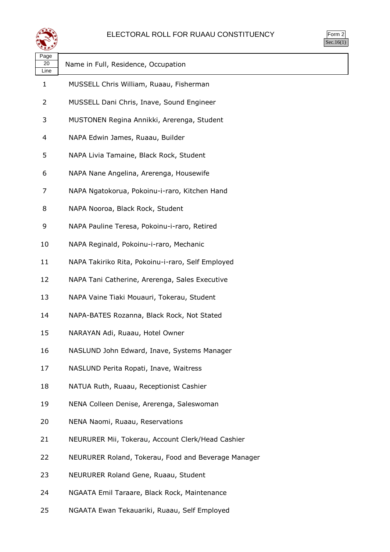

| $rac{1}{2}$<br>╯ |  |
|------------------|--|
| ۰                |  |

| Page<br>20<br>Line | Name in Full, Residence, Occupation                 |
|--------------------|-----------------------------------------------------|
| 1                  | MUSSELL Chris William, Ruaau, Fisherman             |
| 2                  | MUSSELL Dani Chris, Inave, Sound Engineer           |
| 3                  | MUSTONEN Regina Annikki, Arerenga, Student          |
| 4                  | NAPA Edwin James, Ruaau, Builder                    |
| 5                  | NAPA Livia Tamaine, Black Rock, Student             |
| 6                  | NAPA Nane Angelina, Arerenga, Housewife             |
| 7                  | NAPA Ngatokorua, Pokoinu-i-raro, Kitchen Hand       |
| 8                  | NAPA Nooroa, Black Rock, Student                    |
| 9                  | NAPA Pauline Teresa, Pokoinu-i-raro, Retired        |
| 10                 | NAPA Reginald, Pokoinu-i-raro, Mechanic             |
| 11                 | NAPA Takiriko Rita, Pokoinu-i-raro, Self Employed   |
| 12                 | NAPA Tani Catherine, Arerenga, Sales Executive      |
| 13                 | NAPA Vaine Tiaki Mouauri, Tokerau, Student          |
| 14                 | NAPA-BATES Rozanna, Black Rock, Not Stated          |
| 15                 | NARAYAN Adi, Ruaau, Hotel Owner                     |
| 16                 | NASLUND John Edward, Inave, Systems Manager         |
| 17                 | NASLUND Perita Ropati, Inave, Waitress              |
| 18                 | NATUA Ruth, Ruaau, Receptionist Cashier             |
| 19                 | NENA Colleen Denise, Arerenga, Saleswoman           |
| 20                 | NENA Naomi, Ruaau, Reservations                     |
| 21                 | NEURURER Mii, Tokerau, Account Clerk/Head Cashier   |
| 22                 | NEURURER Roland, Tokerau, Food and Beverage Manager |
| 23                 | NEURURER Roland Gene, Ruaau, Student                |
| 24                 | NGAATA Emil Taraare, Black Rock, Maintenance        |

NGAATA Ewan Tekauariki, Ruaau, Self Employed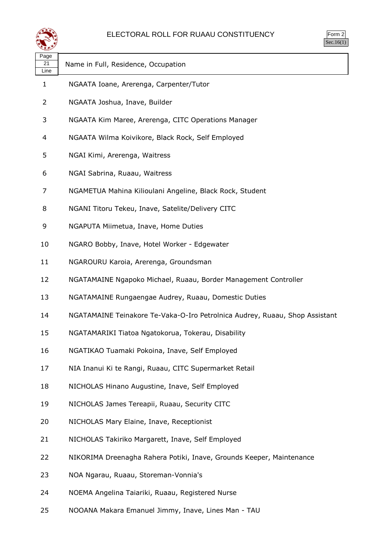

| orm |
|-----|
| ÷   |

| ≍±≠∠               |                                                                             |
|--------------------|-----------------------------------------------------------------------------|
| Page<br>21<br>Line | Name in Full, Residence, Occupation                                         |
| $\mathbf{1}$       | NGAATA Ioane, Arerenga, Carpenter/Tutor                                     |
| 2                  | NGAATA Joshua, Inave, Builder                                               |
| 3                  | NGAATA Kim Maree, Arerenga, CITC Operations Manager                         |
| 4                  | NGAATA Wilma Koivikore, Black Rock, Self Employed                           |
| 5                  | NGAI Kimi, Arerenga, Waitress                                               |
| 6                  | NGAI Sabrina, Ruaau, Waitress                                               |
| 7                  | NGAMETUA Mahina Kilioulani Angeline, Black Rock, Student                    |
| 8                  | NGANI Titoru Tekeu, Inave, Satelite/Delivery CITC                           |
| 9                  | NGAPUTA Miimetua, Inave, Home Duties                                        |
| 10                 | NGARO Bobby, Inave, Hotel Worker - Edgewater                                |
| 11                 | NGAROURU Karoia, Arerenga, Groundsman                                       |
| 12                 | NGATAMAINE Ngapoko Michael, Ruaau, Border Management Controller             |
| 13                 | NGATAMAINE Rungaengae Audrey, Ruaau, Domestic Duties                        |
| 14                 | NGATAMAINE Teinakore Te-Vaka-O-Iro Petrolnica Audrey, Ruaau, Shop Assistant |
| 15                 | NGATAMARIKI Tiatoa Ngatokorua, Tokerau, Disability                          |
| 16                 | NGATIKAO Tuamaki Pokoina, Inave, Self Employed                              |
| 17                 | NIA Inanui Ki te Rangi, Ruaau, CITC Supermarket Retail                      |
| 18                 | NICHOLAS Hinano Augustine, Inave, Self Employed                             |
| 19                 | NICHOLAS James Tereapii, Ruaau, Security CITC                               |
| 20                 | NICHOLAS Mary Elaine, Inave, Receptionist                                   |
| 21                 | NICHOLAS Takiriko Margarett, Inave, Self Employed                           |
| 22                 | NIKORIMA Dreenagha Rahera Potiki, Inave, Grounds Keeper, Maintenance        |
| 23                 | NOA Ngarau, Ruaau, Storeman-Vonnia's                                        |
| 24                 | NOEMA Angelina Taiariki, Ruaau, Registered Nurse                            |

NOOANA Makara Emanuel Jimmy, Inave, Lines Man - TAU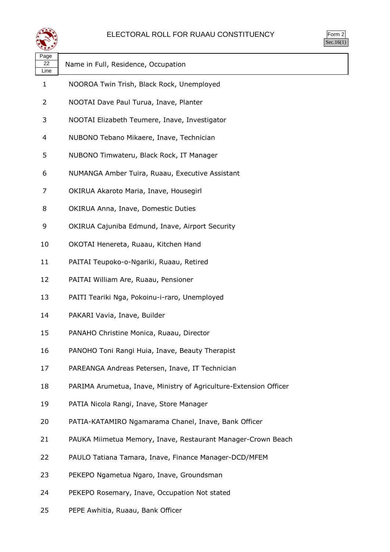

| Page<br>22<br>Line | Name in Full, Residence, Occupation                               |
|--------------------|-------------------------------------------------------------------|
| 1                  | NOOROA Twin Trish, Black Rock, Unemployed                         |
| 2                  | NOOTAI Dave Paul Turua, Inave, Planter                            |
| 3                  | NOOTAI Elizabeth Teumere, Inave, Investigator                     |
| 4                  | NUBONO Tebano Mikaere, Inave, Technician                          |
| 5                  | NUBONO Timwateru, Black Rock, IT Manager                          |
| 6                  | NUMANGA Amber Tuira, Ruaau, Executive Assistant                   |
| 7                  | OKIRUA Akaroto Maria, Inave, Housegirl                            |
| 8                  | OKIRUA Anna, Inave, Domestic Duties                               |
| 9                  | OKIRUA Cajuniba Edmund, Inave, Airport Security                   |
| 10                 | OKOTAI Henereta, Ruaau, Kitchen Hand                              |
| 11                 | PAITAI Teupoko-o-Ngariki, Ruaau, Retired                          |
| 12                 | PAITAI William Are, Ruaau, Pensioner                              |
| 13                 | PAITI Teariki Nga, Pokoinu-i-raro, Unemployed                     |
| 14                 | PAKARI Vavia, Inave, Builder                                      |
| 15                 | PANAHO Christine Monica, Ruaau, Director                          |
| 16                 | PANOHO Toni Rangi Huia, Inave, Beauty Therapist                   |
| 17                 | PAREANGA Andreas Petersen, Inave, IT Technician                   |
| 18                 | PARIMA Arumetua, Inave, Ministry of Agriculture-Extension Officer |
| 19                 | PATIA Nicola Rangi, Inave, Store Manager                          |
| 20                 | PATIA-KATAMIRO Ngamarama Chanel, Inave, Bank Officer              |
| 21                 | PAUKA Miimetua Memory, Inave, Restaurant Manager-Crown Beach      |
| 22                 | PAULO Tatiana Tamara, Inave, Finance Manager-DCD/MFEM             |
| 23                 | PEKEPO Ngametua Ngaro, Inave, Groundsman                          |
| 24                 | PEKEPO Rosemary, Inave, Occupation Not stated                     |

PEPE Awhitia, Ruaau, Bank Officer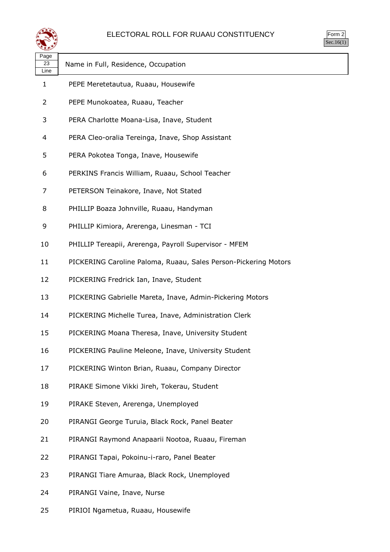

| orm<br>╭ |
|----------|
|          |

 $\overline{\phantom{a}}$ 

| પ⊷                 |                                                                 |
|--------------------|-----------------------------------------------------------------|
| Page<br>23<br>Line | Name in Full, Residence, Occupation                             |
| $\mathbf{1}$       | PEPE Meretetautua, Ruaau, Housewife                             |
| 2                  | PEPE Munokoatea, Ruaau, Teacher                                 |
| 3                  | PERA Charlotte Moana-Lisa, Inave, Student                       |
| 4                  | PERA Cleo-oralia Tereinga, Inave, Shop Assistant                |
| 5                  | PERA Pokotea Tonga, Inave, Housewife                            |
| 6                  | PERKINS Francis William, Ruaau, School Teacher                  |
| 7                  | PETERSON Teinakore, Inave, Not Stated                           |
| 8                  | PHILLIP Boaza Johnville, Ruaau, Handyman                        |
| 9                  | PHILLIP Kimiora, Arerenga, Linesman - TCI                       |
| 10                 | PHILLIP Tereapii, Arerenga, Payroll Supervisor - MFEM           |
| 11                 | PICKERING Caroline Paloma, Ruaau, Sales Person-Pickering Motors |
| 12                 | PICKERING Fredrick Ian, Inave, Student                          |
| 13                 | PICKERING Gabrielle Mareta, Inave, Admin-Pickering Motors       |
| 14                 | PICKERING Michelle Turea, Inave, Administration Clerk           |
| 15                 | PICKERING Moana Theresa, Inave, University Student              |
| 16                 | PICKERING Pauline Meleone, Inave, University Student            |
| 17                 | PICKERING Winton Brian, Ruaau, Company Director                 |
| 18                 | PIRAKE Simone Vikki Jireh, Tokerau, Student                     |
| 19                 | PIRAKE Steven, Arerenga, Unemployed                             |
| 20                 | PIRANGI George Turuia, Black Rock, Panel Beater                 |
| 21                 | PIRANGI Raymond Anapaarii Nootoa, Ruaau, Fireman                |
| 22                 | PIRANGI Tapai, Pokoinu-i-raro, Panel Beater                     |
| 23                 | PIRANGI Tiare Amuraa, Black Rock, Unemployed                    |
| 24                 | PIRANGI Vaine, Inave, Nurse                                     |

PIRIOI Ngametua, Ruaau, Housewife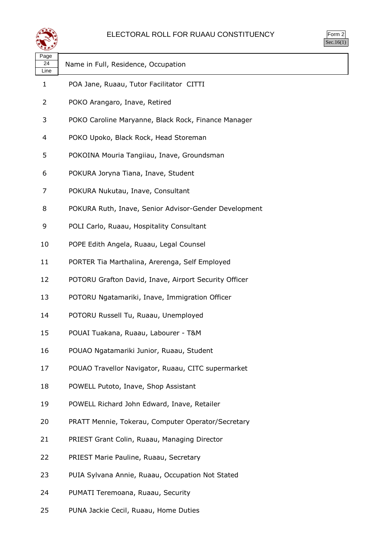

| rm<br>◞<br>u<br>٠ |
|-------------------|
|                   |

| ∽                  |                                                       |
|--------------------|-------------------------------------------------------|
| Page<br>24<br>Line | Name in Full, Residence, Occupation                   |
| 1                  | POA Jane, Ruaau, Tutor Facilitator CITTI              |
| 2                  | POKO Arangaro, Inave, Retired                         |
| 3                  | POKO Caroline Maryanne, Black Rock, Finance Manager   |
| 4                  | POKO Upoko, Black Rock, Head Storeman                 |
| 5                  | POKOINA Mouria Tangiiau, Inave, Groundsman            |
| 6                  | POKURA Joryna Tiana, Inave, Student                   |
| 7                  | POKURA Nukutau, Inave, Consultant                     |
| 8                  | POKURA Ruth, Inave, Senior Advisor-Gender Development |
| 9                  | POLI Carlo, Ruaau, Hospitality Consultant             |
| 10                 | POPE Edith Angela, Ruaau, Legal Counsel               |
| 11                 | PORTER Tia Marthalina, Arerenga, Self Employed        |
| 12                 | POTORU Grafton David, Inave, Airport Security Officer |
| 13                 | POTORU Ngatamariki, Inave, Immigration Officer        |
| 14                 | POTORU Russell Tu, Ruaau, Unemployed                  |
| 15                 | POUAI Tuakana, Ruaau, Labourer - T&M                  |
| 16                 | POUAO Ngatamariki Junior, Ruaau, Student              |
| 17                 | POUAO Travellor Navigator, Ruaau, CITC supermarket    |
| 18                 | POWELL Putoto, Inave, Shop Assistant                  |
| 19                 | POWELL Richard John Edward, Inave, Retailer           |
| 20                 | PRATT Mennie, Tokerau, Computer Operator/Secretary    |
| 21                 | PRIEST Grant Colin, Ruaau, Managing Director          |
| 22                 | PRIEST Marie Pauline, Ruaau, Secretary                |
| 23                 | PUIA Sylvana Annie, Ruaau, Occupation Not Stated      |
| 24                 | PUMATI Teremoana, Ruaau, Security                     |

PUNA Jackie Cecil, Ruaau, Home Duties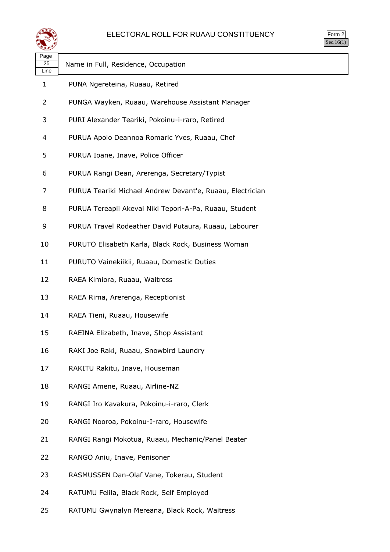

| $\mathsf{m}$ |  |
|--------------|--|
|              |  |

| Page<br>25<br>Line | Name in Full, Residence, Occupation                       |
|--------------------|-----------------------------------------------------------|
| 1                  | PUNA Ngereteina, Ruaau, Retired                           |
| 2                  | PUNGA Wayken, Ruaau, Warehouse Assistant Manager          |
| 3                  | PURI Alexander Teariki, Pokoinu-i-raro, Retired           |
| 4                  | PURUA Apolo Deannoa Romaric Yves, Ruaau, Chef             |
| 5                  | PURUA Ioane, Inave, Police Officer                        |
| 6                  | PURUA Rangi Dean, Arerenga, Secretary/Typist              |
| 7                  | PURUA Teariki Michael Andrew Devant'e, Ruaau, Electrician |
| 8                  | PURUA Tereapii Akevai Niki Tepori-A-Pa, Ruaau, Student    |
| 9                  | PURUA Travel Rodeather David Putaura, Ruaau, Labourer     |
| 10                 | PURUTO Elisabeth Karla, Black Rock, Business Woman        |
| 11                 | PURUTO Vainekiikii, Ruaau, Domestic Duties                |
| 12                 | RAEA Kimiora, Ruaau, Waitress                             |
| 13                 | RAEA Rima, Arerenga, Receptionist                         |
| 14                 | RAEA Tieni, Ruaau, Housewife                              |
| 15                 | RAEINA Elizabeth, Inave, Shop Assistant                   |
| 16                 | RAKI Joe Raki, Ruaau, Snowbird Laundry                    |
| 17                 | RAKITU Rakitu, Inave, Houseman                            |
| 18                 | RANGI Amene, Ruaau, Airline-NZ                            |
| 19                 | RANGI Iro Kavakura, Pokoinu-i-raro, Clerk                 |
| 20                 | RANGI Nooroa, Pokoinu-I-raro, Housewife                   |
| 21                 | RANGI Rangi Mokotua, Ruaau, Mechanic/Panel Beater         |
| 22                 | RANGO Aniu, Inave, Penisoner                              |
| 23                 | RASMUSSEN Dan-Olaf Vane, Tokerau, Student                 |
| 24                 | RATUMU Felila, Black Rock, Self Employed                  |

RATUMU Gwynalyn Mereana, Black Rock, Waitress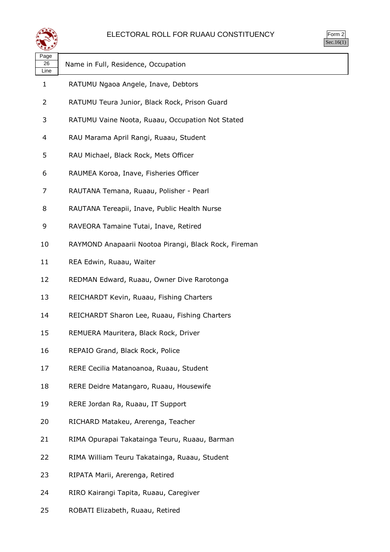

| rm<br>◞<br>u<br>٠ |
|-------------------|
|                   |

| Page<br>26<br>Line | Name in Full, Residence, Occupation                   |
|--------------------|-------------------------------------------------------|
| 1                  | RATUMU Ngaoa Angele, Inave, Debtors                   |
| 2                  | RATUMU Teura Junior, Black Rock, Prison Guard         |
| 3                  | RATUMU Vaine Noota, Ruaau, Occupation Not Stated      |
| 4                  | RAU Marama April Rangi, Ruaau, Student                |
| 5                  | RAU Michael, Black Rock, Mets Officer                 |
| 6                  | RAUMEA Koroa, Inave, Fisheries Officer                |
| 7                  | RAUTANA Temana, Ruaau, Polisher - Pearl               |
| 8                  | RAUTANA Tereapii, Inave, Public Health Nurse          |
| 9                  | RAVEORA Tamaine Tutai, Inave, Retired                 |
| 10                 | RAYMOND Anapaarii Nootoa Pirangi, Black Rock, Fireman |
| 11                 | REA Edwin, Ruaau, Waiter                              |
| 12                 | REDMAN Edward, Ruaau, Owner Dive Rarotonga            |
| 13                 | REICHARDT Kevin, Ruaau, Fishing Charters              |
| 14                 | REICHARDT Sharon Lee, Ruaau, Fishing Charters         |
| 15                 | REMUERA Mauritera, Black Rock, Driver                 |
| 16                 | REPAIO Grand, Black Rock, Police                      |
| 17                 | RERE Cecilia Matanoanoa, Ruaau, Student               |
| 18                 | RERE Deidre Matangaro, Ruaau, Housewife               |
| 19                 | RERE Jordan Ra, Ruaau, IT Support                     |
| 20                 | RICHARD Matakeu, Arerenga, Teacher                    |
| 21                 | RIMA Opurapai Takatainga Teuru, Ruaau, Barman         |
| 22                 | RIMA William Teuru Takatainga, Ruaau, Student         |
| 23                 | RIPATA Marii, Arerenga, Retired                       |
| 24                 | RIRO Kairangi Tapita, Ruaau, Caregiver                |

ROBATI Elizabeth, Ruaau, Retired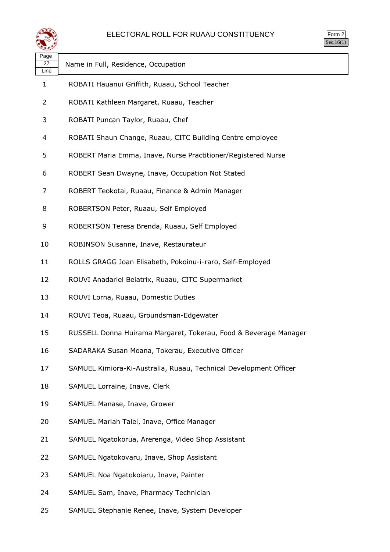

| ⋘                  |                                                                   |
|--------------------|-------------------------------------------------------------------|
| Page<br>27<br>Line | Name in Full, Residence, Occupation                               |
| 1                  | ROBATI Hauanui Griffith, Ruaau, School Teacher                    |
| $\overline{2}$     | ROBATI Kathleen Margaret, Ruaau, Teacher                          |
| 3                  | ROBATI Puncan Taylor, Ruaau, Chef                                 |
| 4                  | ROBATI Shaun Change, Ruaau, CITC Building Centre employee         |
| 5                  | ROBERT Maria Emma, Inave, Nurse Practitioner/Registered Nurse     |
| 6                  | ROBERT Sean Dwayne, Inave, Occupation Not Stated                  |
| 7                  | ROBERT Teokotai, Ruaau, Finance & Admin Manager                   |
| 8                  | ROBERTSON Peter, Ruaau, Self Employed                             |
| 9                  | ROBERTSON Teresa Brenda, Ruaau, Self Employed                     |
| 10                 | ROBINSON Susanne, Inave, Restaurateur                             |
| 11                 | ROLLS GRAGG Joan Elisabeth, Pokoinu-i-raro, Self-Employed         |
| 12                 | ROUVI Anadariel Beiatrix, Ruaau, CITC Supermarket                 |
| 13                 | ROUVI Lorna, Ruaau, Domestic Duties                               |
| 14                 | ROUVI Teoa, Ruaau, Groundsman-Edgewater                           |
| 15                 | RUSSELL Donna Huirama Margaret, Tokerau, Food & Beverage Manager  |
| 16                 | SADARAKA Susan Moana, Tokerau, Executive Officer                  |
| 17                 | SAMUEL Kimiora-Ki-Australia, Ruaau, Technical Development Officer |
| 18                 | SAMUEL Lorraine, Inave, Clerk                                     |
| 19                 | SAMUEL Manase, Inave, Grower                                      |
| 20                 | SAMUEL Mariah Talei, Inave, Office Manager                        |
| 21                 | SAMUEL Ngatokorua, Arerenga, Video Shop Assistant                 |
| 22                 | SAMUEL Ngatokovaru, Inave, Shop Assistant                         |
| 23                 | SAMUEL Noa Ngatokoiaru, Inave, Painter                            |
| 24                 | SAMUEL Sam, Inave, Pharmacy Technician                            |

SAMUEL Stephanie Renee, Inave, System Developer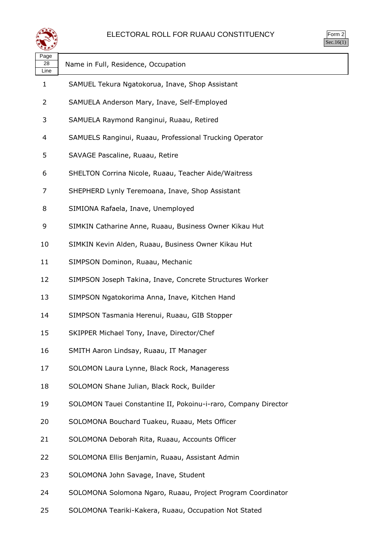

| ırm<br>Ξ |
|----------|
|          |

| Page<br>28<br>Line | Name in Full, Residence, Occupation                            |
|--------------------|----------------------------------------------------------------|
| $\mathbf{1}$       | SAMUEL Tekura Ngatokorua, Inave, Shop Assistant                |
| 2                  | SAMUELA Anderson Mary, Inave, Self-Employed                    |
| 3                  | SAMUELA Raymond Ranginui, Ruaau, Retired                       |
| 4                  | SAMUELS Ranginui, Ruaau, Professional Trucking Operator        |
| 5                  | SAVAGE Pascaline, Ruaau, Retire                                |
| 6                  | SHELTON Corrina Nicole, Ruaau, Teacher Aide/Waitress           |
| 7                  | SHEPHERD Lynly Teremoana, Inave, Shop Assistant                |
| 8                  | SIMIONA Rafaela, Inave, Unemployed                             |
| 9                  | SIMKIN Catharine Anne, Ruaau, Business Owner Kikau Hut         |
| 10                 | SIMKIN Kevin Alden, Ruaau, Business Owner Kikau Hut            |
| 11                 | SIMPSON Dominon, Ruaau, Mechanic                               |
| 12                 | SIMPSON Joseph Takina, Inave, Concrete Structures Worker       |
| 13                 | SIMPSON Ngatokorima Anna, Inave, Kitchen Hand                  |
| 14                 | SIMPSON Tasmania Herenui, Ruaau, GIB Stopper                   |
| 15                 | SKIPPER Michael Tony, Inave, Director/Chef                     |
| 16                 | SMITH Aaron Lindsay, Ruaau, IT Manager                         |
| 17                 | SOLOMON Laura Lynne, Black Rock, Manageress                    |
| 18                 | SOLOMON Shane Julian, Black Rock, Builder                      |
| 19                 | SOLOMON Tauei Constantine II, Pokoinu-i-raro, Company Director |
| 20                 | SOLOMONA Bouchard Tuakeu, Ruaau, Mets Officer                  |
| 21                 | SOLOMONA Deborah Rita, Ruaau, Accounts Officer                 |
| 22                 | SOLOMONA Ellis Benjamin, Ruaau, Assistant Admin                |
| 23                 | SOLOMONA John Savage, Inave, Student                           |
| 24                 | SOLOMONA Solomona Ngaro, Ruaau, Project Program Coordinator    |
|                    |                                                                |

SOLOMONA Teariki-Kakera, Ruaau, Occupation Not Stated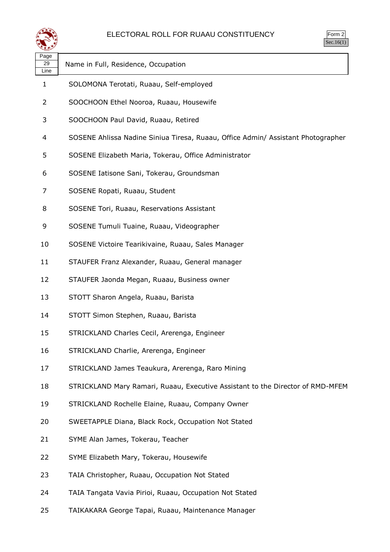

| سمعية              |                                                                                  |
|--------------------|----------------------------------------------------------------------------------|
| Page<br>29<br>Line | Name in Full, Residence, Occupation                                              |
| 1                  | SOLOMONA Terotati, Ruaau, Self-employed                                          |
| 2                  | SOOCHOON Ethel Nooroa, Ruaau, Housewife                                          |
| 3                  | SOOCHOON Paul David, Ruaau, Retired                                              |
| 4                  | SOSENE Ahlissa Nadine Siniua Tiresa, Ruaau, Office Admin/ Assistant Photographer |
| 5                  | SOSENE Elizabeth Maria, Tokerau, Office Administrator                            |
| 6                  | SOSENE Iatisone Sani, Tokerau, Groundsman                                        |
| 7                  | SOSENE Ropati, Ruaau, Student                                                    |
| 8                  | SOSENE Tori, Ruaau, Reservations Assistant                                       |
| 9                  | SOSENE Tumuli Tuaine, Ruaau, Videographer                                        |
| 10                 | SOSENE Victoire Tearikivaine, Ruaau, Sales Manager                               |
| 11                 | STAUFER Franz Alexander, Ruaau, General manager                                  |
| 12                 | STAUFER Jaonda Megan, Ruaau, Business owner                                      |
| 13                 | STOTT Sharon Angela, Ruaau, Barista                                              |
| 14                 | STOTT Simon Stephen, Ruaau, Barista                                              |
| 15                 | STRICKLAND Charles Cecil, Arerenga, Engineer                                     |
| 16                 | STRICKLAND Charlie, Arerenga, Engineer                                           |
| 17                 | STRICKLAND James Teaukura, Arerenga, Raro Mining                                 |
| 18                 | STRICKLAND Mary Ramari, Ruaau, Executive Assistant to the Director of RMD-MFEM   |
| 19                 | STRICKLAND Rochelle Elaine, Ruaau, Company Owner                                 |
| 20                 | SWEETAPPLE Diana, Black Rock, Occupation Not Stated                              |
| 21                 | SYME Alan James, Tokerau, Teacher                                                |
| 22                 | SYME Elizabeth Mary, Tokerau, Housewife                                          |
| 23                 | TAIA Christopher, Ruaau, Occupation Not Stated                                   |
| 24                 | TAIA Tangata Vavia Pirioi, Ruaau, Occupation Not Stated                          |
| 25                 | TAIKAKARA George Tapai, Ruaau, Maintenance Manager                               |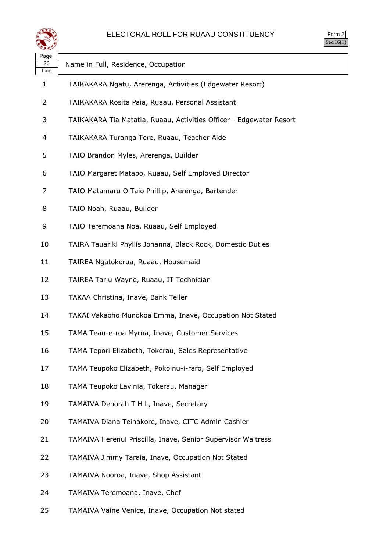

| ∽ອ∽<br>30<br>Line | Name in Full, Residence, Occupation                                 |
|-------------------|---------------------------------------------------------------------|
| 1                 | TAIKAKARA Ngatu, Arerenga, Activities (Edgewater Resort)            |
| 2                 | TAIKAKARA Rosita Paia, Ruaau, Personal Assistant                    |
| 3                 | TAIKAKARA Tia Matatia, Ruaau, Activities Officer - Edgewater Resort |
| 4                 | TAIKAKARA Turanga Tere, Ruaau, Teacher Aide                         |
| 5                 | TAIO Brandon Myles, Arerenga, Builder                               |
| 6                 | TAIO Margaret Matapo, Ruaau, Self Employed Director                 |
| 7                 | TAIO Matamaru O Taio Phillip, Arerenga, Bartender                   |
| 8                 | TAIO Noah, Ruaau, Builder                                           |
| 9                 | TAIO Teremoana Noa, Ruaau, Self Employed                            |
| 10                | TAIRA Tauariki Phyllis Johanna, Black Rock, Domestic Duties         |
| 11                | TAIREA Ngatokorua, Ruaau, Housemaid                                 |
| 12                | TAIREA Tariu Wayne, Ruaau, IT Technician                            |
| 13                | TAKAA Christina, Inave, Bank Teller                                 |
| 14                | TAKAI Vakaoho Munokoa Emma, Inave, Occupation Not Stated            |
| 15                | TAMA Teau-e-roa Myrna, Inave, Customer Services                     |
| 16                | TAMA Tepori Elizabeth, Tokerau, Sales Representative                |
| 17                | TAMA Teupoko Elizabeth, Pokoinu-i-raro, Self Employed               |
| 18                | TAMA Teupoko Lavinia, Tokerau, Manager                              |
| 19                | TAMAIVA Deborah T H L, Inave, Secretary                             |
| 20                | TAMAIVA Diana Teinakore, Inave, CITC Admin Cashier                  |
| 21                | TAMAIVA Herenui Priscilla, Inave, Senior Supervisor Waitress        |
| 22                | TAMAIVA Jimmy Taraia, Inave, Occupation Not Stated                  |
| 23                | TAMAIVA Nooroa, Inave, Shop Assistant                               |
| 24                | TAMAIVA Teremoana, Inave, Chef                                      |

TAMAIVA Vaine Venice, Inave, Occupation Not stated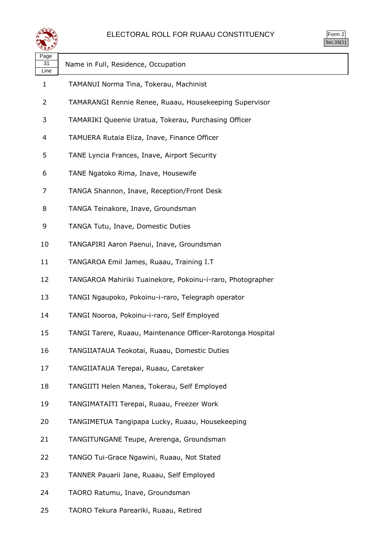

| Page<br>31<br>Line | Name in Full, Residence, Occupation                         |
|--------------------|-------------------------------------------------------------|
| $\mathbf{1}$       | TAMANUI Norma Tina, Tokerau, Machinist                      |
| 2                  | TAMARANGI Rennie Renee, Ruaau, Housekeeping Supervisor      |
| 3                  | TAMARIKI Queenie Uratua, Tokerau, Purchasing Officer        |
| 4                  | TAMUERA Rutaia Eliza, Inave, Finance Officer                |
| 5                  | TANE Lyncia Frances, Inave, Airport Security                |
| 6                  | TANE Ngatoko Rima, Inave, Housewife                         |
| 7                  | TANGA Shannon, Inave, Reception/Front Desk                  |
| 8                  | TANGA Teinakore, Inave, Groundsman                          |
| 9                  | TANGA Tutu, Inave, Domestic Duties                          |
| 10                 | TANGAPIRI Aaron Paenui, Inave, Groundsman                   |
| 11                 | TANGAROA Emil James, Ruaau, Training I.T                    |
| 12                 | TANGAROA Mahiriki Tuainekore, Pokoinu-i-raro, Photographer  |
| 13                 | TANGI Ngaupoko, Pokoinu-i-raro, Telegraph operator          |
| 14                 | TANGI Nooroa, Pokoinu-i-raro, Self Employed                 |
| 15                 | TANGI Tarere, Ruaau, Maintenance Officer-Rarotonga Hospital |
| 16                 | TANGIIATAUA Teokotai, Ruaau, Domestic Duties                |
| 17                 | TANGIIATAUA Terepai, Ruaau, Caretaker                       |
| 18                 | TANGIITI Helen Manea, Tokerau, Self Employed                |
| 19                 | TANGIMATAITI Terepai, Ruaau, Freezer Work                   |
| 20                 | TANGIMETUA Tangipapa Lucky, Ruaau, Housekeeping             |
| 21                 | TANGITUNGANE Teupe, Arerenga, Groundsman                    |
| 22                 | TANGO Tui-Grace Ngawini, Ruaau, Not Stated                  |
| 23                 | TANNER Pauarii Jane, Ruaau, Self Employed                   |
| 24                 | TAORO Ratumu, Inave, Groundsman                             |
|                    |                                                             |

TAORO Tekura Pareariki, Ruaau, Retired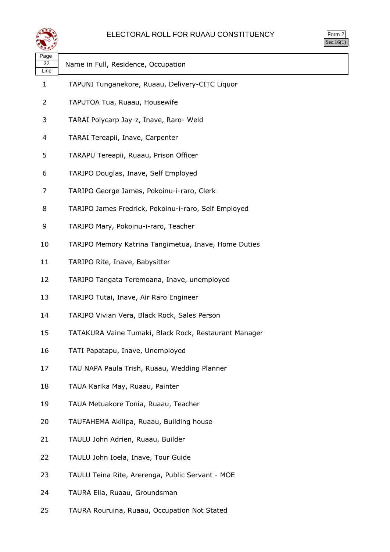

| orm<br>↘ |
|----------|
|          |

| પ∓≠У               |                                                       |
|--------------------|-------------------------------------------------------|
| Page<br>32<br>Line | Name in Full, Residence, Occupation                   |
| $\mathbf{1}$       | TAPUNI Tunganekore, Ruaau, Delivery-CITC Liquor       |
| 2                  | TAPUTOA Tua, Ruaau, Housewife                         |
| 3                  | TARAI Polycarp Jay-z, Inave, Raro- Weld               |
| 4                  | TARAI Tereapii, Inave, Carpenter                      |
| 5                  | TARAPU Tereapii, Ruaau, Prison Officer                |
| 6                  | TARIPO Douglas, Inave, Self Employed                  |
| 7                  | TARIPO George James, Pokoinu-i-raro, Clerk            |
| 8                  | TARIPO James Fredrick, Pokoinu-i-raro, Self Employed  |
| 9                  | TARIPO Mary, Pokoinu-i-raro, Teacher                  |
| 10                 | TARIPO Memory Katrina Tangimetua, Inave, Home Duties  |
| 11                 | TARIPO Rite, Inave, Babysitter                        |
| 12                 | TARIPO Tangata Teremoana, Inave, unemployed           |
| 13                 | TARIPO Tutai, Inave, Air Raro Engineer                |
| 14                 | TARIPO Vivian Vera, Black Rock, Sales Person          |
| 15                 | TATAKURA Vaine Tumaki, Black Rock, Restaurant Manager |
| 16                 | TATI Papatapu, Inave, Unemployed                      |
| 17                 | TAU NAPA Paula Trish, Ruaau, Wedding Planner          |
| 18                 | TAUA Karika May, Ruaau, Painter                       |
| 19                 | TAUA Metuakore Tonia, Ruaau, Teacher                  |
| 20                 | TAUFAHEMA Akilipa, Ruaau, Building house              |
| 21                 | TAULU John Adrien, Ruaau, Builder                     |
| 22                 | TAULU John Ioela, Inave, Tour Guide                   |
| 23                 | TAULU Teina Rite, Arerenga, Public Servant - MOE      |
| 24                 | TAURA Elia, Ruaau, Groundsman                         |
|                    |                                                       |

TAURA Rouruina, Ruaau, Occupation Not Stated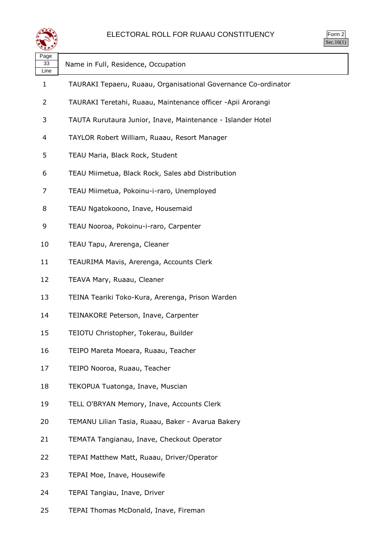

| Page<br>33<br>Line | Name in Full, Residence, Occupation                            |
|--------------------|----------------------------------------------------------------|
| 1                  | TAURAKI Tepaeru, Ruaau, Organisational Governance Co-ordinator |
| 2                  | TAURAKI Teretahi, Ruaau, Maintenance officer -Apii Arorangi    |
| 3                  | TAUTA Rurutaura Junior, Inave, Maintenance - Islander Hotel    |
| 4                  | TAYLOR Robert William, Ruaau, Resort Manager                   |
| 5                  | TEAU Maria, Black Rock, Student                                |
| 6                  | TEAU Miimetua, Black Rock, Sales abd Distribution              |
| 7                  | TEAU Miimetua, Pokoinu-i-raro, Unemployed                      |
| 8                  | TEAU Ngatokoono, Inave, Housemaid                              |
| 9                  | TEAU Nooroa, Pokoinu-i-raro, Carpenter                         |
| 10                 | TEAU Tapu, Arerenga, Cleaner                                   |
| 11                 | TEAURIMA Mavis, Arerenga, Accounts Clerk                       |
| 12                 | TEAVA Mary, Ruaau, Cleaner                                     |
| 13                 | TEINA Teariki Toko-Kura, Arerenga, Prison Warden               |
| 14                 | TEINAKORE Peterson, Inave, Carpenter                           |
| 15                 | TEIOTU Christopher, Tokerau, Builder                           |
| 16                 | TEIPO Mareta Moeara, Ruaau, Teacher                            |
| 17                 | TEIPO Nooroa, Ruaau, Teacher                                   |
| 18                 | TEKOPUA Tuatonga, Inave, Muscian                               |
| 19                 | TELL O'BRYAN Memory, Inave, Accounts Clerk                     |
| 20                 | TEMANU Lilian Tasia, Ruaau, Baker - Avarua Bakery              |
| 21                 | TEMATA Tangianau, Inave, Checkout Operator                     |
| 22                 | TEPAI Matthew Matt, Ruaau, Driver/Operator                     |
| 23                 | TEPAI Moe, Inave, Housewife                                    |
| 24                 | TEPAI Tangiau, Inave, Driver                                   |
|                    |                                                                |

TEPAI Thomas McDonald, Inave, Fireman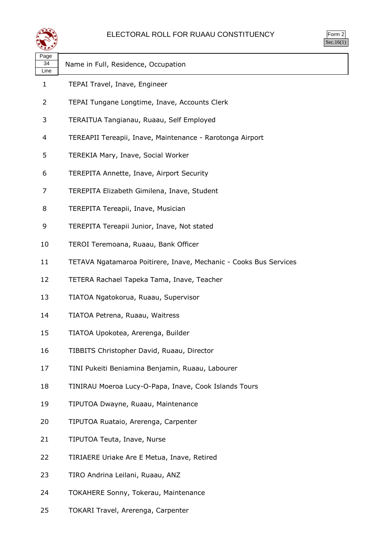

| rm<br>., |
|----------|
|          |

| Page<br>34<br>Line | Name in Full, Residence, Occupation                               |
|--------------------|-------------------------------------------------------------------|
| 1                  | TEPAI Travel, Inave, Engineer                                     |
| 2                  | TEPAI Tungane Longtime, Inave, Accounts Clerk                     |
| 3                  | TERAITUA Tangianau, Ruaau, Self Employed                          |
| 4                  | TEREAPII Tereapii, Inave, Maintenance - Rarotonga Airport         |
| 5                  | TEREKIA Mary, Inave, Social Worker                                |
| 6                  | TEREPITA Annette, Inave, Airport Security                         |
| 7                  | TEREPITA Elizabeth Gimilena, Inave, Student                       |
| 8                  | TEREPITA Tereapii, Inave, Musician                                |
| 9                  | TEREPITA Tereapii Junior, Inave, Not stated                       |
| 10                 | TEROI Teremoana, Ruaau, Bank Officer                              |
| 11                 | TETAVA Ngatamaroa Poitirere, Inave, Mechanic - Cooks Bus Services |
| 12                 | TETERA Rachael Tapeka Tama, Inave, Teacher                        |
| 13                 | TIATOA Ngatokorua, Ruaau, Supervisor                              |
| 14                 | TIATOA Petrena, Ruaau, Waitress                                   |
| 15                 | TIATOA Upokotea, Arerenga, Builder                                |
| 16                 | TIBBITS Christopher David, Ruaau, Director                        |
| 17                 | TINI Pukeiti Beniamina Benjamin, Ruaau, Labourer                  |
| 18                 | TINIRAU Moeroa Lucy-O-Papa, Inave, Cook Islands Tours             |
| 19                 | TIPUTOA Dwayne, Ruaau, Maintenance                                |
| 20                 | TIPUTOA Ruataio, Arerenga, Carpenter                              |
| 21                 | TIPUTOA Teuta, Inave, Nurse                                       |
| 22                 | TIRIAERE Uriake Are E Metua, Inave, Retired                       |
| 23                 | TIRO Andrina Leilani, Ruaau, ANZ                                  |
| 24                 | TOKAHERE Sonny, Tokerau, Maintenance                              |
| 25                 | TOKARI Travel, Arerenga, Carpenter                                |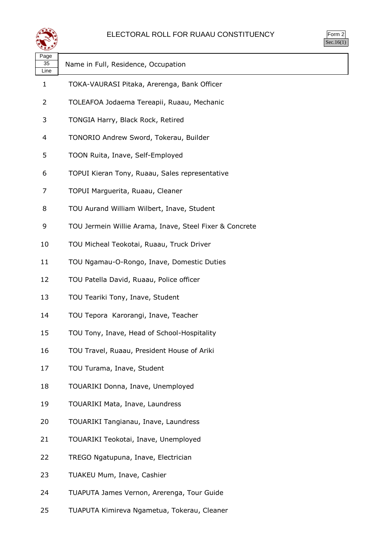

| rm<br>٠<br>л |
|--------------|
|              |

| ---<br>Page<br>35<br>Line | Name in Full, Residence, Occupation                     |
|---------------------------|---------------------------------------------------------|
| $\mathbf{1}$              | TOKA-VAURASI Pitaka, Arerenga, Bank Officer             |
| 2                         | TOLEAFOA Jodaema Tereapii, Ruaau, Mechanic              |
| 3                         | TONGIA Harry, Black Rock, Retired                       |
| 4                         | TONORIO Andrew Sword, Tokerau, Builder                  |
| 5                         | TOON Ruita, Inave, Self-Employed                        |
| 6                         | TOPUI Kieran Tony, Ruaau, Sales representative          |
| 7                         | TOPUI Marguerita, Ruaau, Cleaner                        |
| 8                         | TOU Aurand William Wilbert, Inave, Student              |
| 9                         | TOU Jermein Willie Arama, Inave, Steel Fixer & Concrete |
| 10                        | TOU Micheal Teokotai, Ruaau, Truck Driver               |
| 11                        | TOU Ngamau-O-Rongo, Inave, Domestic Duties              |
| 12                        | TOU Patella David, Ruaau, Police officer                |
| 13                        | TOU Teariki Tony, Inave, Student                        |
| 14                        | TOU Tepora Karorangi, Inave, Teacher                    |
| 15                        | TOU Tony, Inave, Head of School-Hospitality             |
| 16                        | TOU Travel, Ruaau, President House of Ariki             |
| 17                        | TOU Turama, Inave, Student                              |
| 18                        | TOUARIKI Donna, Inave, Unemployed                       |
| 19                        | TOUARIKI Mata, Inave, Laundress                         |
| 20                        | TOUARIKI Tangianau, Inave, Laundress                    |
| 21                        | TOUARIKI Teokotai, Inave, Unemployed                    |
| 22                        | TREGO Ngatupuna, Inave, Electrician                     |
| 23                        | TUAKEU Mum, Inave, Cashier                              |
| 24                        | TUAPUTA James Vernon, Arerenga, Tour Guide              |

TUAPUTA Kimireva Ngametua, Tokerau, Cleaner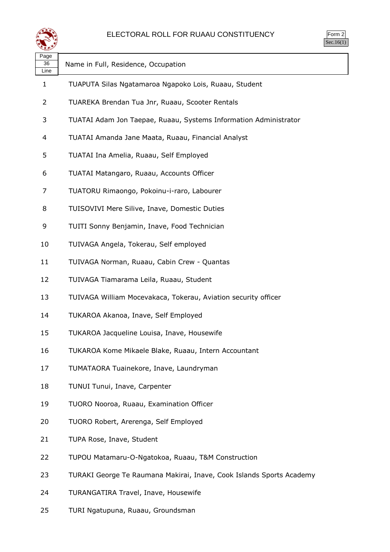

| . ugu<br>36<br>Line | Name in Full, Residence, Occupation                                  |
|---------------------|----------------------------------------------------------------------|
| 1                   | TUAPUTA Silas Ngatamaroa Ngapoko Lois, Ruaau, Student                |
| 2                   | TUAREKA Brendan Tua Jnr, Ruaau, Scooter Rentals                      |
| 3                   | TUATAI Adam Jon Taepae, Ruaau, Systems Information Administrator     |
| 4                   | TUATAI Amanda Jane Maata, Ruaau, Financial Analyst                   |
| 5                   | TUATAI Ina Amelia, Ruaau, Self Employed                              |
| 6                   | TUATAI Matangaro, Ruaau, Accounts Officer                            |
| 7                   | TUATORU Rimaongo, Pokoinu-i-raro, Labourer                           |
| 8                   | TUISOVIVI Mere Silive, Inave, Domestic Duties                        |
| 9                   | TUITI Sonny Benjamin, Inave, Food Technician                         |
| 10                  | TUIVAGA Angela, Tokerau, Self employed                               |
| 11                  | TUIVAGA Norman, Ruaau, Cabin Crew - Quantas                          |
| 12                  | TUIVAGA Tiamarama Leila, Ruaau, Student                              |
| 13                  | TUIVAGA William Mocevakaca, Tokerau, Aviation security officer       |
| 14                  | TUKAROA Akanoa, Inave, Self Employed                                 |
| 15                  | TUKAROA Jacqueline Louisa, Inave, Housewife                          |
| 16                  | TUKAROA Kome Mikaele Blake, Ruaau, Intern Accountant                 |
| 17                  | TUMATAORA Tuainekore, Inave, Laundryman                              |
| 18                  | TUNUI Tunui, Inave, Carpenter                                        |
| 19                  | TUORO Nooroa, Ruaau, Examination Officer                             |
| 20                  | TUORO Robert, Arerenga, Self Employed                                |
| 21                  | TUPA Rose, Inave, Student                                            |
| 22                  | TUPOU Matamaru-O-Ngatokoa, Ruaau, T&M Construction                   |
| 23                  | TURAKI George Te Raumana Makirai, Inave, Cook Islands Sports Academy |
| 24                  | TURANGATIRA Travel, Inave, Housewife                                 |

TURI Ngatupuna, Ruaau, Groundsman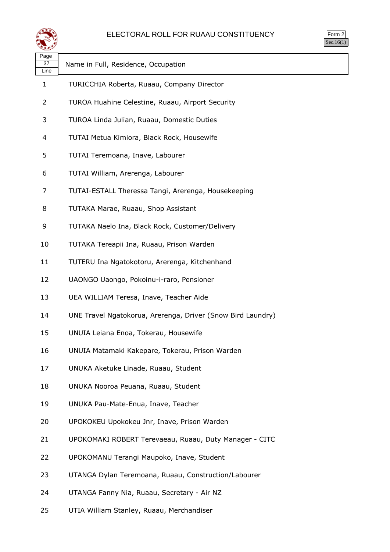

| orm |  |
|-----|--|
|     |  |

| Page<br>37<br>Line | Name in Full, Residence, Occupation                         |
|--------------------|-------------------------------------------------------------|
| 1                  | TURICCHIA Roberta, Ruaau, Company Director                  |
| 2                  | TUROA Huahine Celestine, Ruaau, Airport Security            |
| 3                  | TUROA Linda Julian, Ruaau, Domestic Duties                  |
| 4                  | TUTAI Metua Kimiora, Black Rock, Housewife                  |
| 5                  | TUTAI Teremoana, Inave, Labourer                            |
| 6                  | TUTAI William, Arerenga, Labourer                           |
| 7                  | TUTAI-ESTALL Theressa Tangi, Arerenga, Housekeeping         |
| 8                  | TUTAKA Marae, Ruaau, Shop Assistant                         |
| 9                  | TUTAKA Naelo Ina, Black Rock, Customer/Delivery             |
| 10                 | TUTAKA Tereapii Ina, Ruaau, Prison Warden                   |
| 11                 | TUTERU Ina Ngatokotoru, Arerenga, Kitchenhand               |
| 12                 | UAONGO Uaongo, Pokoinu-i-raro, Pensioner                    |
| 13                 | UEA WILLIAM Teresa, Inave, Teacher Aide                     |
| 14                 | UNE Travel Ngatokorua, Arerenga, Driver (Snow Bird Laundry) |
| 15                 | UNUIA Leiana Enoa, Tokerau, Housewife                       |
| 16                 | UNUIA Matamaki Kakepare, Tokerau, Prison Warden             |
| 17                 | UNUKA Aketuke Linade, Ruaau, Student                        |
| 18                 | UNUKA Nooroa Peuana, Ruaau, Student                         |
| 19                 | UNUKA Pau-Mate-Enua, Inave, Teacher                         |
| 20                 | UPOKOKEU Upokokeu Jnr, Inave, Prison Warden                 |
| 21                 | UPOKOMAKI ROBERT Terevaeau, Ruaau, Duty Manager - CITC      |
| 22                 | UPOKOMANU Terangi Maupoko, Inave, Student                   |
| 23                 | UTANGA Dylan Teremoana, Ruaau, Construction/Labourer        |
| 24                 | UTANGA Fanny Nia, Ruaau, Secretary - Air NZ                 |

UTIA William Stanley, Ruaau, Merchandiser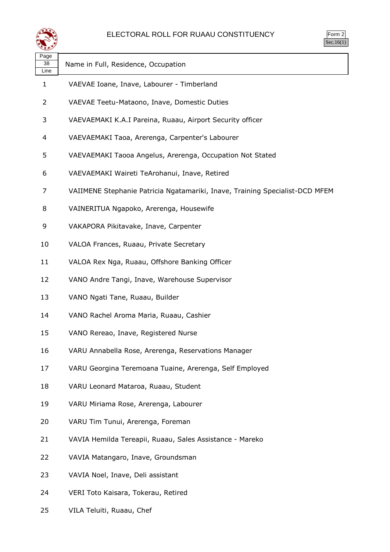

| $rac{1}{2}$<br>⊵ |  |
|------------------|--|
| า เ              |  |

| Page<br>38<br>Line | Name in Full, Residence, Occupation                                          |
|--------------------|------------------------------------------------------------------------------|
| 1                  | VAEVAE Ioane, Inave, Labourer - Timberland                                   |
| 2                  | VAEVAE Teetu-Mataono, Inave, Domestic Duties                                 |
| 3                  | VAEVAEMAKI K.A.I Pareina, Ruaau, Airport Security officer                    |
| 4                  | VAEVAEMAKI Taoa, Arerenga, Carpenter's Labourer                              |
| 5                  | VAEVAEMAKI Taooa Angelus, Arerenga, Occupation Not Stated                    |
| 6                  | VAEVAEMAKI Waireti TeArohanui, Inave, Retired                                |
| 7                  | VAIIMENE Stephanie Patricia Ngatamariki, Inave, Training Specialist-DCD MFEM |
| 8                  | VAINERITUA Ngapoko, Arerenga, Housewife                                      |
| 9                  | VAKAPORA Pikitavake, Inave, Carpenter                                        |
| 10                 | VALOA Frances, Ruaau, Private Secretary                                      |
| 11                 | VALOA Rex Nga, Ruaau, Offshore Banking Officer                               |
| 12                 | VANO Andre Tangi, Inave, Warehouse Supervisor                                |
| 13                 | VANO Ngati Tane, Ruaau, Builder                                              |
| 14                 | VANO Rachel Aroma Maria, Ruaau, Cashier                                      |
| 15                 | VANO Rereao, Inave, Registered Nurse                                         |
| 16                 | VARU Annabella Rose, Arerenga, Reservations Manager                          |
| 17                 | VARU Georgina Teremoana Tuaine, Arerenga, Self Employed                      |
| 18                 | VARU Leonard Mataroa, Ruaau, Student                                         |
| 19                 | VARU Miriama Rose, Arerenga, Labourer                                        |
| 20                 | VARU Tim Tunui, Arerenga, Foreman                                            |
| 21                 | VAVIA Hemilda Tereapii, Ruaau, Sales Assistance - Mareko                     |
| 22                 | VAVIA Matangaro, Inave, Groundsman                                           |
| 23                 | VAVIA Noel, Inave, Deli assistant                                            |
| 24                 | VERI Toto Kaisara, Tokerau, Retired                                          |

VILA Teluiti, Ruaau, Chef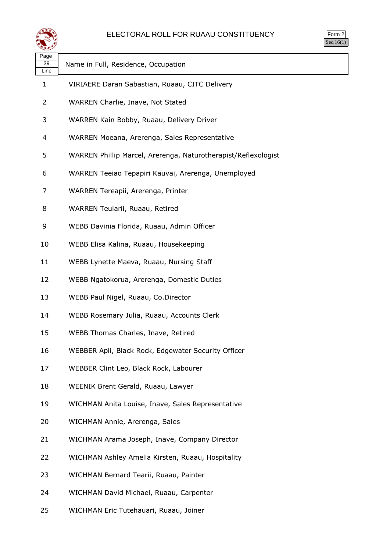

| $\mathsf{m}$ |  |
|--------------|--|
|              |  |

| ື້                 |                                                                |
|--------------------|----------------------------------------------------------------|
| Page<br>39<br>Line | Name in Full, Residence, Occupation                            |
| $\mathbf{1}$       | VIRIAERE Daran Sabastian, Ruaau, CITC Delivery                 |
| 2                  | WARREN Charlie, Inave, Not Stated                              |
| 3                  | WARREN Kain Bobby, Ruaau, Delivery Driver                      |
| 4                  | WARREN Moeana, Arerenga, Sales Representative                  |
| 5                  | WARREN Phillip Marcel, Arerenga, Naturotherapist/Reflexologist |
| 6                  | WARREN Teeiao Tepapiri Kauvai, Arerenga, Unemployed            |
| 7                  | WARREN Tereapii, Arerenga, Printer                             |
| 8                  | WARREN Teuiarii, Ruaau, Retired                                |
| 9                  | WEBB Davinia Florida, Ruaau, Admin Officer                     |
| 10                 | WEBB Elisa Kalina, Ruaau, Housekeeping                         |
| 11                 | WEBB Lynette Maeva, Ruaau, Nursing Staff                       |
| 12                 | WEBB Ngatokorua, Arerenga, Domestic Duties                     |
| 13                 | WEBB Paul Nigel, Ruaau, Co.Director                            |
| 14                 | WEBB Rosemary Julia, Ruaau, Accounts Clerk                     |
| 15                 | WEBB Thomas Charles, Inave, Retired                            |
| 16                 | WEBBER Apii, Black Rock, Edgewater Security Officer            |
| 17                 | WEBBER Clint Leo, Black Rock, Labourer                         |
| 18                 | WEENIK Brent Gerald, Ruaau, Lawyer                             |
| 19                 | WICHMAN Anita Louise, Inave, Sales Representative              |
| 20                 | WICHMAN Annie, Arerenga, Sales                                 |
| 21                 | WICHMAN Arama Joseph, Inave, Company Director                  |
| 22                 | WICHMAN Ashley Amelia Kirsten, Ruaau, Hospitality              |
| 23                 | WICHMAN Bernard Tearii, Ruaau, Painter                         |
| 24                 | WICHMAN David Michael, Ruaau, Carpenter                        |
| 25                 | WICHMAN Eric Tutehauari, Ruaau, Joiner                         |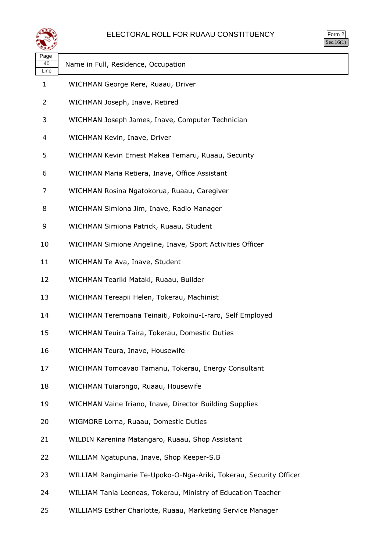

| $rac{1}{2}$<br>╯ |  |
|------------------|--|
| ∼ I              |  |

| Page<br>40     | Name in Full, Residence, Occupation                                |
|----------------|--------------------------------------------------------------------|
| Line           |                                                                    |
| 1              | WICHMAN George Rere, Ruaau, Driver                                 |
| $\overline{2}$ | WICHMAN Joseph, Inave, Retired                                     |
| 3              | WICHMAN Joseph James, Inave, Computer Technician                   |
| 4              | WICHMAN Kevin, Inave, Driver                                       |
| 5              | WICHMAN Kevin Ernest Makea Temaru, Ruaau, Security                 |
| 6              | WICHMAN Maria Retiera, Inave, Office Assistant                     |
| 7              | WICHMAN Rosina Ngatokorua, Ruaau, Caregiver                        |
| 8              | WICHMAN Simiona Jim, Inave, Radio Manager                          |
| 9              | WICHMAN Simiona Patrick, Ruaau, Student                            |
| 10             | WICHMAN Simione Angeline, Inave, Sport Activities Officer          |
| 11             | WICHMAN Te Ava, Inave, Student                                     |
| 12             | WICHMAN Teariki Mataki, Ruaau, Builder                             |
| 13             | WICHMAN Tereapii Helen, Tokerau, Machinist                         |
| 14             | WICHMAN Teremoana Teinaiti, Pokoinu-I-raro, Self Employed          |
| 15             | WICHMAN Teuira Taira, Tokerau, Domestic Duties                     |
| 16             | WICHMAN Teura, Inave, Housewife                                    |
| 17             | WICHMAN Tomoavao Tamanu, Tokerau, Energy Consultant                |
| 18             | WICHMAN Tuiarongo, Ruaau, Housewife                                |
| 19             | WICHMAN Vaine Iriano, Inave, Director Building Supplies            |
| 20             | WIGMORE Lorna, Ruaau, Domestic Duties                              |
| 21             | WILDIN Karenina Matangaro, Ruaau, Shop Assistant                   |
| 22             | WILLIAM Ngatupuna, Inave, Shop Keeper-S.B                          |
| 23             | WILLIAM Rangimarie Te-Upoko-O-Nga-Ariki, Tokerau, Security Officer |
| 24             | WILLIAM Tania Leeneas, Tokerau, Ministry of Education Teacher      |

WILLIAMS Esther Charlotte, Ruaau, Marketing Service Manager